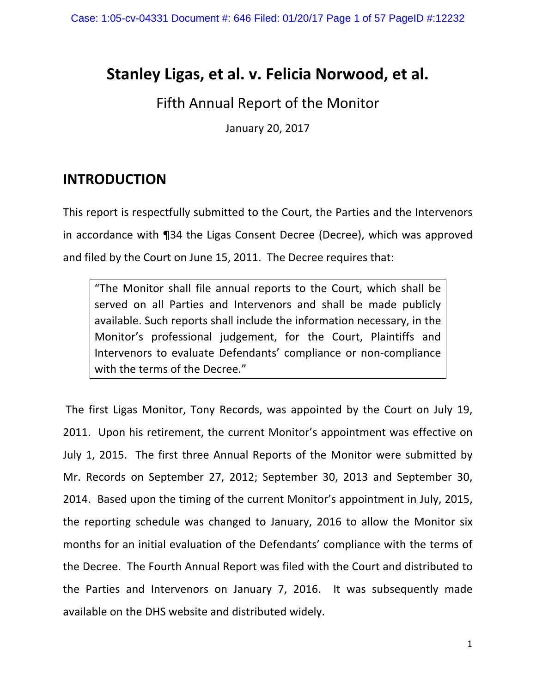# **Stanley Ligas, et al. v. Felicia Norwood, et al.**

## Fifth Annual Report of the Monitor

January 20, 2017

## **INTRODUCTION**

This report is respectfully submitted to the Court, the Parties and the Intervenors in accordance with ¶34 the Ligas Consent Decree (Decree), which was approved and filed by the Court on June 15, 2011. The Decree requires that:

"The Monitor shall file annual reports to the Court, which shall be served on all Parties and Intervenors and shall be made publicly available. Such reports shall include the information necessary, in the Monitor's professional judgement, for the Court, Plaintiffs and Intervenors to evaluate Defendants' compliance or non-compliance with the terms of the Decree."

The first Ligas Monitor, Tony Records, was appointed by the Court on July 19, 2011. Upon his retirement, the current Monitor's appointment was effective on July 1, 2015. The first three Annual Reports of the Monitor were submitted by Mr. Records on September 27, 2012; September 30, 2013 and September 30, 2014. Based upon the timing of the current Monitor's appointment in July, 2015, the reporting schedule was changed to January, 2016 to allow the Monitor six months for an initial evaluation of the Defendants' compliance with the terms of the Decree. The Fourth Annual Report was filed with the Court and distributed to the Parties and Intervenors on January 7, 2016. It was subsequently made available on the DHS website and distributed widely.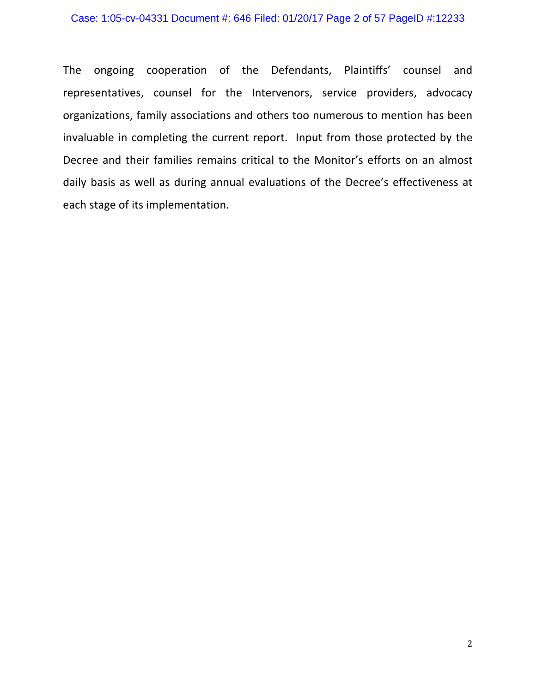#### Case: 1:05-cv-04331 Document #: 646 Filed: 01/20/17 Page 2 of 57 PageID #:12233

The ongoing cooperation of the Defendants, Plaintiffs' counsel and representatives, counsel for the Intervenors, service providers, advocacy organizations, family associations and others too numerous to mention has been invaluable in completing the current report. Input from those protected by the Decree and their families remains critical to the Monitor's efforts on an almost daily basis as well as during annual evaluations of the Decree's effectiveness at each stage of its implementation.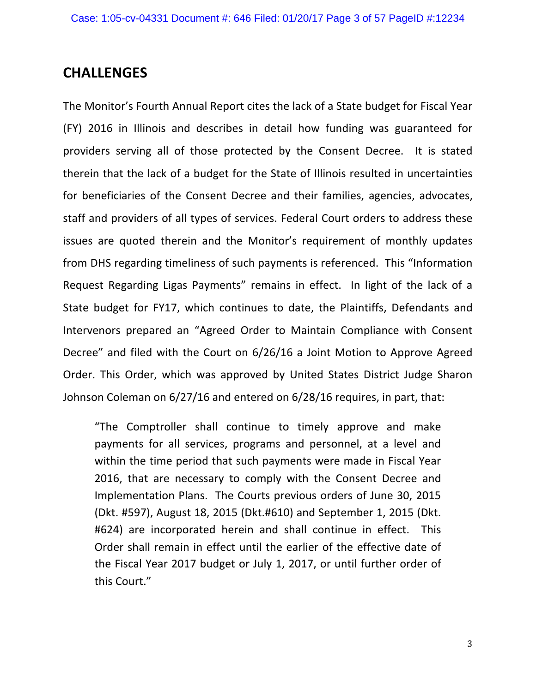## **CHALLENGES**

The Monitor's Fourth Annual Report cites the lack of a State budget for Fiscal Year (FY) 2016 in Illinois and describes in detail how funding was guaranteed for providers serving all of those protected by the Consent Decree. It is stated therein that the lack of a budget for the State of Illinois resulted in uncertainties for beneficiaries of the Consent Decree and their families, agencies, advocates, staff and providers of all types of services. Federal Court orders to address these issues are quoted therein and the Monitor's requirement of monthly updates from DHS regarding timeliness of such payments is referenced. This "Information Request Regarding Ligas Payments" remains in effect. In light of the lack of a State budget for FY17, which continues to date, the Plaintiffs, Defendants and Intervenors prepared an "Agreed Order to Maintain Compliance with Consent Decree" and filed with the Court on 6/26/16 a Joint Motion to Approve Agreed Order. This Order, which was approved by United States District Judge Sharon Johnson Coleman on 6/27/16 and entered on 6/28/16 requires, in part, that:

"The Comptroller shall continue to timely approve and make payments for all services, programs and personnel, at a level and within the time period that such payments were made in Fiscal Year 2016, that are necessary to comply with the Consent Decree and Implementation Plans. The Courts previous orders of June 30, 2015 (Dkt. #597), August 18, 2015 (Dkt.#610) and September 1, 2015 (Dkt. #624) are incorporated herein and shall continue in effect. This Order shall remain in effect until the earlier of the effective date of the Fiscal Year 2017 budget or July 1, 2017, or until further order of this Court."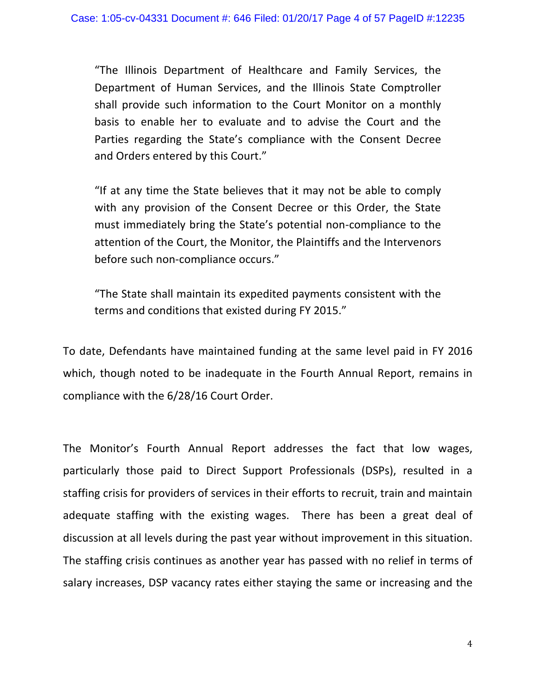"The Illinois Department of Healthcare and Family Services, the Department of Human Services, and the Illinois State Comptroller shall provide such information to the Court Monitor on a monthly basis to enable her to evaluate and to advise the Court and the Parties regarding the State's compliance with the Consent Decree and Orders entered by this Court."

"If at any time the State believes that it may not be able to comply with any provision of the Consent Decree or this Order, the State must immediately bring the State's potential non-compliance to the attention of the Court, the Monitor, the Plaintiffs and the Intervenors before such non-compliance occurs."

"The State shall maintain its expedited payments consistent with the terms and conditions that existed during FY 2015."

To date, Defendants have maintained funding at the same level paid in FY 2016 which, though noted to be inadequate in the Fourth Annual Report, remains in compliance with the 6/28/16 Court Order.

The Monitor's Fourth Annual Report addresses the fact that low wages, particularly those paid to Direct Support Professionals (DSPs), resulted in a staffing crisis for providers of services in their efforts to recruit, train and maintain adequate staffing with the existing wages. There has been a great deal of discussion at all levels during the past year without improvement in this situation. The staffing crisis continues as another year has passed with no relief in terms of salary increases, DSP vacancy rates either staying the same or increasing and the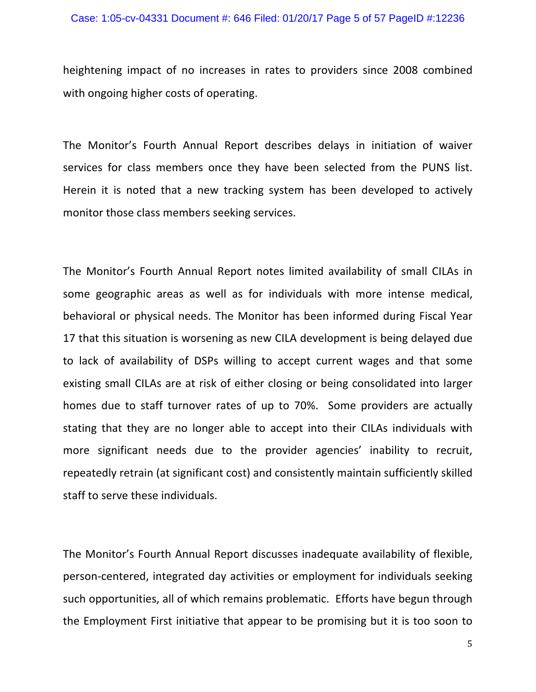#### Case: 1:05-cv-04331 Document #: 646 Filed: 01/20/17 Page 5 of 57 PageID #:12236

heightening impact of no increases in rates to providers since 2008 combined with ongoing higher costs of operating.

The Monitor's Fourth Annual Report describes delays in initiation of waiver services for class members once they have been selected from the PUNS list. Herein it is noted that a new tracking system has been developed to actively monitor those class members seeking services.

The Monitor's Fourth Annual Report notes limited availability of small CILAs in some geographic areas as well as for individuals with more intense medical, behavioral or physical needs. The Monitor has been informed during Fiscal Year 17 that this situation is worsening as new CILA development is being delayed due to lack of availability of DSPs willing to accept current wages and that some existing small CILAs are at risk of either closing or being consolidated into larger homes due to staff turnover rates of up to 70%. Some providers are actually stating that they are no longer able to accept into their CILAs individuals with more significant needs due to the provider agencies' inability to recruit, repeatedly retrain (at significant cost) and consistently maintain sufficiently skilled staff to serve these individuals.

The Monitor's Fourth Annual Report discusses inadequate availability of flexible, person-centered, integrated day activities or employment for individuals seeking such opportunities, all of which remains problematic. Efforts have begun through the Employment First initiative that appear to be promising but it is too soon to

5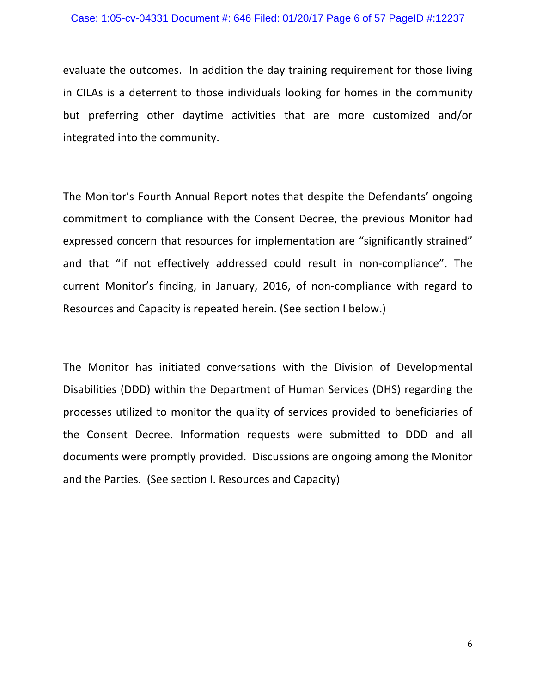#### Case: 1:05-cv-04331 Document #: 646 Filed: 01/20/17 Page 6 of 57 PageID #:12237

evaluate the outcomes. In addition the day training requirement for those living in CILAs is a deterrent to those individuals looking for homes in the community but preferring other daytime activities that are more customized and/or integrated into the community.

The Monitor's Fourth Annual Report notes that despite the Defendants' ongoing commitment to compliance with the Consent Decree, the previous Monitor had expressed concern that resources for implementation are "significantly strained" and that "if not effectively addressed could result in non-compliance". The current Monitor's finding, in January, 2016, of non-compliance with regard to Resources and Capacity is repeated herein. (See section I below.)

The Monitor has initiated conversations with the Division of Developmental Disabilities (DDD) within the Department of Human Services (DHS) regarding the processes utilized to monitor the quality of services provided to beneficiaries of the Consent Decree. Information requests were submitted to DDD and all documents were promptly provided. Discussions are ongoing among the Monitor and the Parties. (See section I. Resources and Capacity)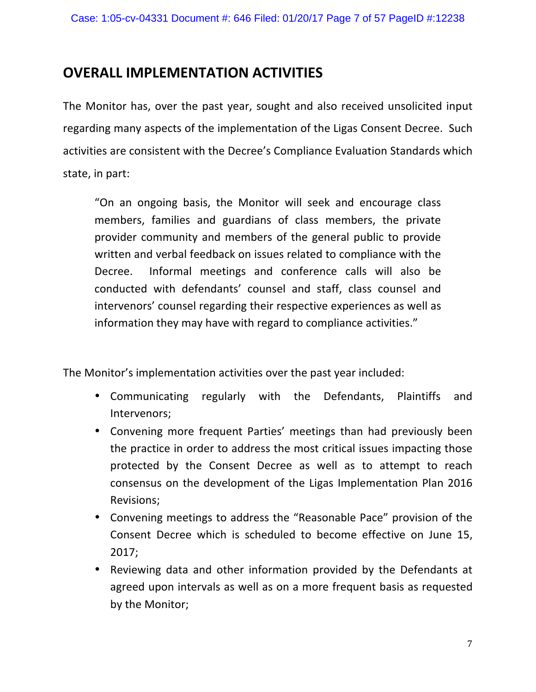## **OVERALL IMPLEMENTATION ACTIVITIES**

The Monitor has, over the past year, sought and also received unsolicited input regarding many aspects of the implementation of the Ligas Consent Decree. Such activities are consistent with the Decree's Compliance Evaluation Standards which state, in part:

"On an ongoing basis, the Monitor will seek and encourage class members, families and guardians of class members, the private provider community and members of the general public to provide written and verbal feedback on issues related to compliance with the Decree. Informal meetings and conference calls will also be conducted with defendants' counsel and staff, class counsel and intervenors' counsel regarding their respective experiences as well as information they may have with regard to compliance activities."

The Monitor's implementation activities over the past year included:

- Communicating regularly with the Defendants, Plaintiffs and Intervenors;
- Convening more frequent Parties' meetings than had previously been the practice in order to address the most critical issues impacting those protected by the Consent Decree as well as to attempt to reach consensus on the development of the Ligas Implementation Plan 2016 Revisions;
- Convening meetings to address the "Reasonable Pace" provision of the Consent Decree which is scheduled to become effective on June 15, 2017;
- Reviewing data and other information provided by the Defendants at agreed upon intervals as well as on a more frequent basis as requested by the Monitor;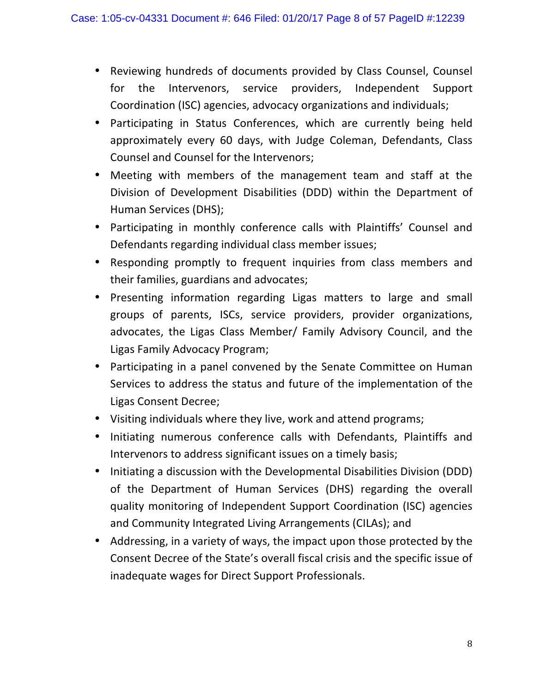- Reviewing hundreds of documents provided by Class Counsel, Counsel for the Intervenors, service providers, Independent Support Coordination (ISC) agencies, advocacy organizations and individuals;
- Participating in Status Conferences, which are currently being held approximately every 60 days, with Judge Coleman, Defendants, Class Counsel and Counsel for the Intervenors;
- Meeting with members of the management team and staff at the Division of Development Disabilities (DDD) within the Department of Human Services (DHS);
- Participating in monthly conference calls with Plaintiffs' Counsel and Defendants regarding individual class member issues;
- Responding promptly to frequent inquiries from class members and their families, guardians and advocates;
- Presenting information regarding Ligas matters to large and small groups of parents, ISCs, service providers, provider organizations, advocates, the Ligas Class Member/ Family Advisory Council, and the Ligas Family Advocacy Program;
- Participating in a panel convened by the Senate Committee on Human Services to address the status and future of the implementation of the Ligas Consent Decree;
- Visiting individuals where they live, work and attend programs;
- Initiating numerous conference calls with Defendants, Plaintiffs and Intervenors to address significant issues on a timely basis;
- Initiating a discussion with the Developmental Disabilities Division (DDD) of the Department of Human Services (DHS) regarding the overall quality monitoring of Independent Support Coordination (ISC) agencies and Community Integrated Living Arrangements (CILAs); and
- Addressing, in a variety of ways, the impact upon those protected by the Consent Decree of the State's overall fiscal crisis and the specific issue of inadequate wages for Direct Support Professionals.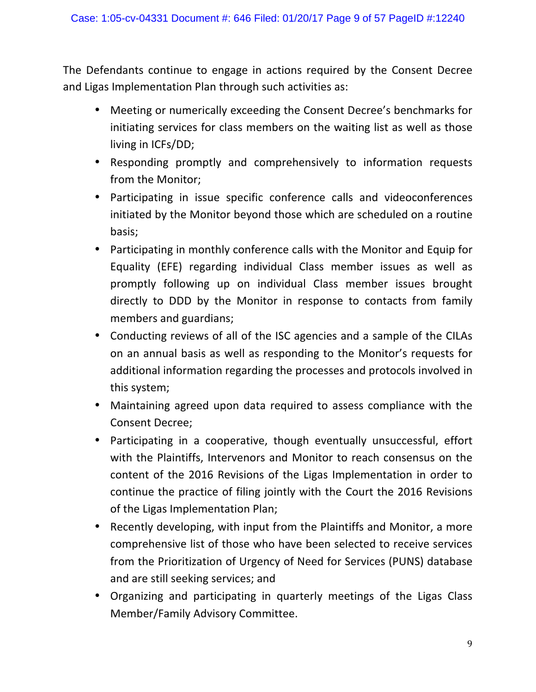The Defendants continue to engage in actions required by the Consent Decree and Ligas Implementation Plan through such activities as:

- Meeting or numerically exceeding the Consent Decree's benchmarks for initiating services for class members on the waiting list as well as those living in ICFs/DD;
- Responding promptly and comprehensively to information requests from the Monitor;
- Participating in issue specific conference calls and videoconferences initiated by the Monitor beyond those which are scheduled on a routine basis;
- Participating in monthly conference calls with the Monitor and Equip for Equality (EFE) regarding individual Class member issues as well as promptly following up on individual Class member issues brought directly to DDD by the Monitor in response to contacts from family members and guardians;
- Conducting reviews of all of the ISC agencies and a sample of the CILAs on an annual basis as well as responding to the Monitor's requests for additional information regarding the processes and protocols involved in this system;
- Maintaining agreed upon data required to assess compliance with the Consent Decree;
- Participating in a cooperative, though eventually unsuccessful, effort with the Plaintiffs, Intervenors and Monitor to reach consensus on the content of the 2016 Revisions of the Ligas Implementation in order to continue the practice of filing jointly with the Court the 2016 Revisions of the Ligas Implementation Plan;
- Recently developing, with input from the Plaintiffs and Monitor, a more comprehensive list of those who have been selected to receive services from the Prioritization of Urgency of Need for Services (PUNS) database and are still seeking services; and
- Organizing and participating in quarterly meetings of the Ligas Class Member/Family Advisory Committee.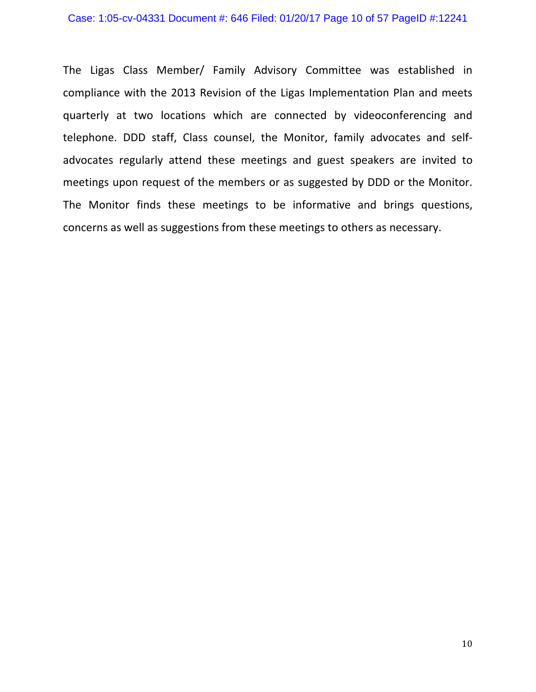#### Case: 1:05-cv-04331 Document #: 646 Filed: 01/20/17 Page 10 of 57 PageID #:12241

The Ligas Class Member/ Family Advisory Committee was established in compliance with the 2013 Revision of the Ligas Implementation Plan and meets quarterly at two locations which are connected by videoconferencing and telephone. DDD staff, Class counsel, the Monitor, family advocates and selfadvocates regularly attend these meetings and guest speakers are invited to meetings upon request of the members or as suggested by DDD or the Monitor. The Monitor finds these meetings to be informative and brings questions, concerns as well as suggestions from these meetings to others as necessary.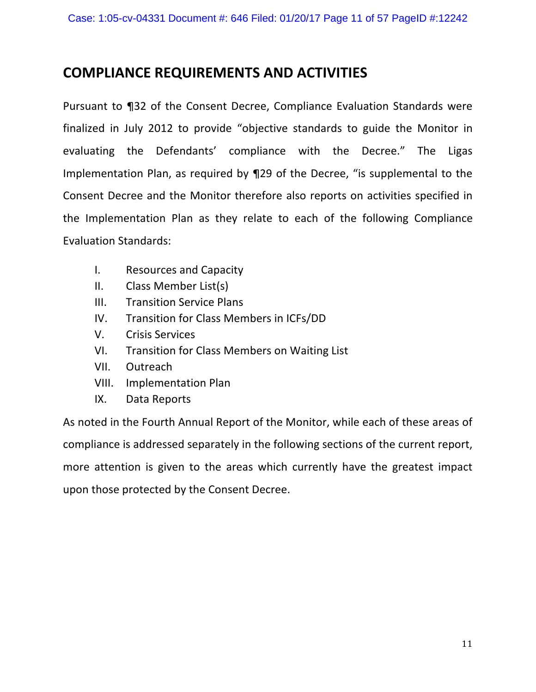## **COMPLIANCE REQUIREMENTS AND ACTIVITIES**

Pursuant to 132 of the Consent Decree, Compliance Evaluation Standards were finalized in July 2012 to provide "objective standards to guide the Monitor in evaluating the Defendants' compliance with the Decree." The Ligas Implementation Plan, as required by 129 of the Decree, "is supplemental to the Consent Decree and the Monitor therefore also reports on activities specified in the Implementation Plan as they relate to each of the following Compliance Evaluation Standards:

- I. Resources and Capacity
- II. Class Member List(s)
- III. Transition Service Plans
- IV. Transition for Class Members in ICFs/DD
- V. Crisis Services
- VI. Transition for Class Members on Waiting List
- VII. Outreach
- VIII. Implementation Plan
- IX. Data Reports

As noted in the Fourth Annual Report of the Monitor, while each of these areas of compliance is addressed separately in the following sections of the current report, more attention is given to the areas which currently have the greatest impact upon those protected by the Consent Decree.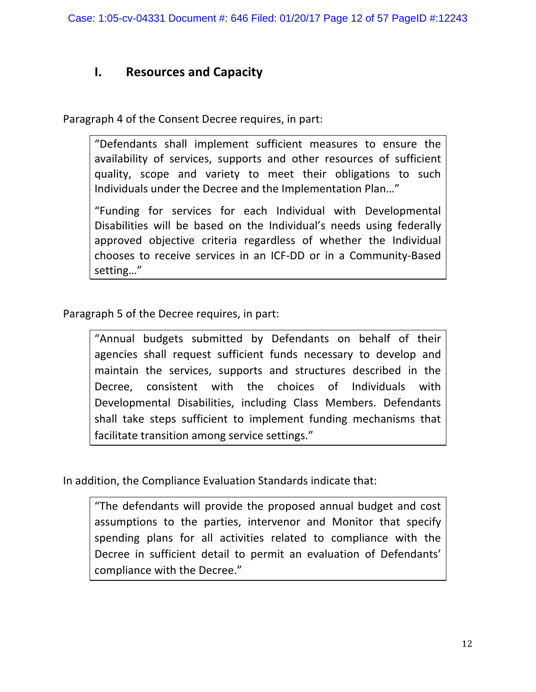## **I.** Resources and Capacity

Paragraph 4 of the Consent Decree requires, in part:

"Defendants shall implement sufficient measures to ensure the availability of services, supports and other resources of sufficient quality, scope and variety to meet their obligations to such Individuals under the Decree and the Implementation Plan..."

"Funding for services for each Individual with Developmental Disabilities will be based on the Individual's needs using federally approved objective criteria regardless of whether the Individual chooses to receive services in an ICF-DD or in a Community-Based setting…"

Paragraph 5 of the Decree requires, in part:

"Annual budgets submitted by Defendants on behalf of their agencies shall request sufficient funds necessary to develop and maintain the services, supports and structures described in the Decree, consistent with the choices of Individuals with Developmental Disabilities, including Class Members. Defendants shall take steps sufficient to implement funding mechanisms that facilitate transition among service settings."

In addition, the Compliance Evaluation Standards indicate that:

"The defendants will provide the proposed annual budget and cost assumptions to the parties, intervenor and Monitor that specify spending plans for all activities related to compliance with the Decree in sufficient detail to permit an evaluation of Defendants' compliance with the Decree."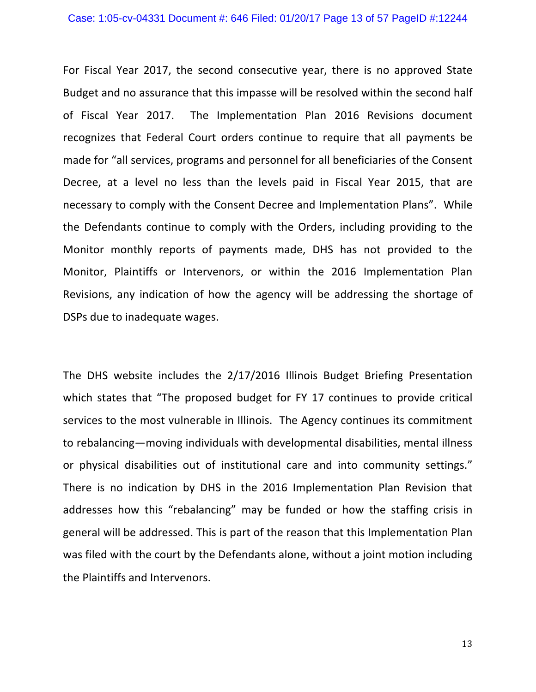For Fiscal Year 2017, the second consecutive year, there is no approved State Budget and no assurance that this impasse will be resolved within the second half of Fiscal Year 2017. The Implementation Plan 2016 Revisions document recognizes that Federal Court orders continue to require that all payments be made for "all services, programs and personnel for all beneficiaries of the Consent Decree, at a level no less than the levels paid in Fiscal Year 2015, that are necessary to comply with the Consent Decree and Implementation Plans". While the Defendants continue to comply with the Orders, including providing to the Monitor monthly reports of payments made, DHS has not provided to the Monitor, Plaintiffs or Intervenors, or within the 2016 Implementation Plan Revisions, any indication of how the agency will be addressing the shortage of DSPs due to inadequate wages.

The DHS website includes the  $2/17/2016$  Illinois Budget Briefing Presentation which states that "The proposed budget for FY 17 continues to provide critical services to the most vulnerable in Illinois. The Agency continues its commitment to rebalancing—moving individuals with developmental disabilities, mental illness or physical disabilities out of institutional care and into community settings." There is no indication by DHS in the 2016 Implementation Plan Revision that addresses how this "rebalancing" may be funded or how the staffing crisis in general will be addressed. This is part of the reason that this Implementation Plan was filed with the court by the Defendants alone, without a joint motion including the Plaintiffs and Intervenors.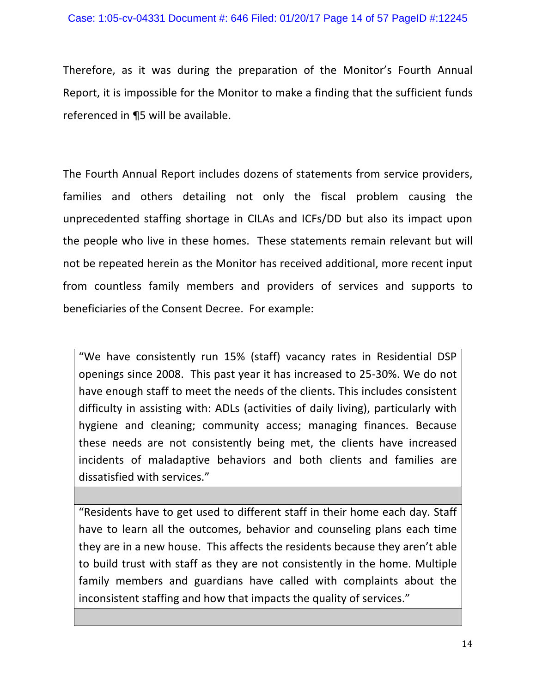Therefore, as it was during the preparation of the Monitor's Fourth Annual Report, it is impossible for the Monitor to make a finding that the sufficient funds referenced in  $\P$ 5 will be available.

The Fourth Annual Report includes dozens of statements from service providers, families and others detailing not only the fiscal problem causing the unprecedented staffing shortage in CILAs and ICFs/DD but also its impact upon the people who live in these homes. These statements remain relevant but will not be repeated herein as the Monitor has received additional, more recent input from countless family members and providers of services and supports to beneficiaries of the Consent Decree. For example:

"We have consistently run 15% (staff) vacancy rates in Residential DSP openings since 2008. This past year it has increased to 25-30%. We do not have enough staff to meet the needs of the clients. This includes consistent difficulty in assisting with: ADLs (activities of daily living), particularly with hygiene and cleaning; community access; managing finances. Because these needs are not consistently being met, the clients have increased incidents of maladaptive behaviors and both clients and families are dissatisfied with services."

"Residents have to get used to different staff in their home each day. Staff have to learn all the outcomes, behavior and counseling plans each time they are in a new house. This affects the residents because they aren't able to build trust with staff as they are not consistently in the home. Multiple family members and guardians have called with complaints about the inconsistent staffing and how that impacts the quality of services."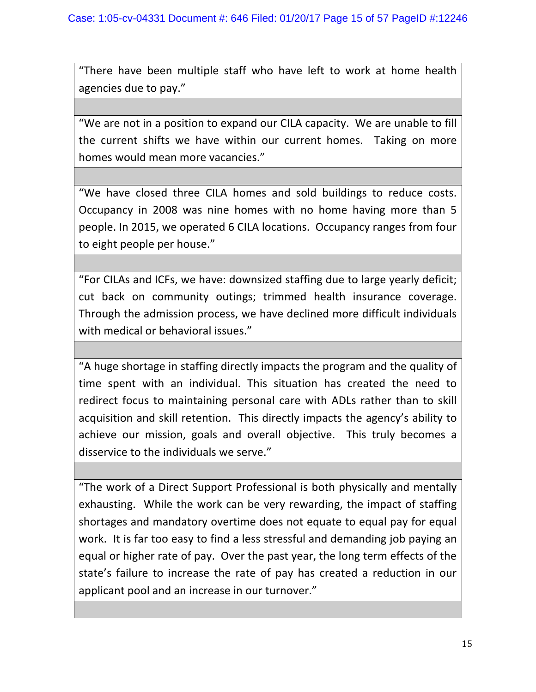"There have been multiple staff who have left to work at home health agencies due to pay."

"We are not in a position to expand our CILA capacity. We are unable to fill the current shifts we have within our current homes. Taking on more homes would mean more vacancies."

"We have closed three CILA homes and sold buildings to reduce costs. Occupancy in 2008 was nine homes with no home having more than 5 people. In 2015, we operated 6 CILA locations. Occupancy ranges from four to eight people per house."

"For CILAs and ICFs, we have: downsized staffing due to large yearly deficit; cut back on community outings; trimmed health insurance coverage. Through the admission process, we have declined more difficult individuals with medical or behavioral issues."

"A huge shortage in staffing directly impacts the program and the quality of time spent with an individual. This situation has created the need to redirect focus to maintaining personal care with ADLs rather than to skill acquisition and skill retention. This directly impacts the agency's ability to achieve our mission, goals and overall objective. This truly becomes a disservice to the individuals we serve."

"The work of a Direct Support Professional is both physically and mentally exhausting. While the work can be very rewarding, the impact of staffing shortages and mandatory overtime does not equate to equal pay for equal work. It is far too easy to find a less stressful and demanding job paying an equal or higher rate of pay. Over the past year, the long term effects of the state's failure to increase the rate of pay has created a reduction in our applicant pool and an increase in our turnover."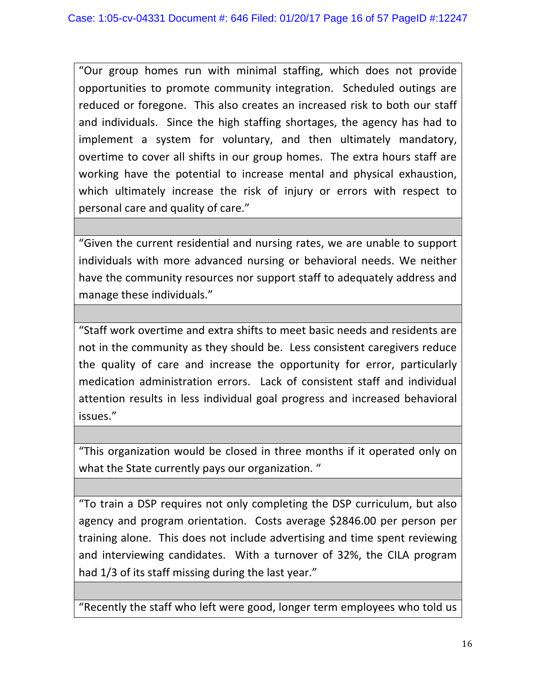"Our group homes run with minimal staffing, which does not provide opportunities to promote community integration. Scheduled outings are reduced or foregone. This also creates an increased risk to both our staff and individuals. Since the high staffing shortages, the agency has had to implement a system for voluntary, and then ultimately mandatory, overtime to cover all shifts in our group homes. The extra hours staff are working have the potential to increase mental and physical exhaustion, which ultimately increase the risk of injury or errors with respect to personal care and quality of care."

"Given the current residential and nursing rates, we are unable to support individuals with more advanced nursing or behavioral needs. We neither have the community resources nor support staff to adequately address and manage these individuals."

"Staff work overtime and extra shifts to meet basic needs and residents are not in the community as they should be. Less consistent caregivers reduce the quality of care and increase the opportunity for error, particularly medication administration errors. Lack of consistent staff and individual attention results in less individual goal progress and increased behavioral issues."

"This organization would be closed in three months if it operated only on what the State currently pays our organization. "

"To train a DSP requires not only completing the DSP curriculum, but also agency and program orientation. Costs average \$2846.00 per person per training alone. This does not include advertising and time spent reviewing and interviewing candidates. With a turnover of 32%, the CILA program had 1/3 of its staff missing during the last year."

"Recently the staff who left were good, longer term employees who told us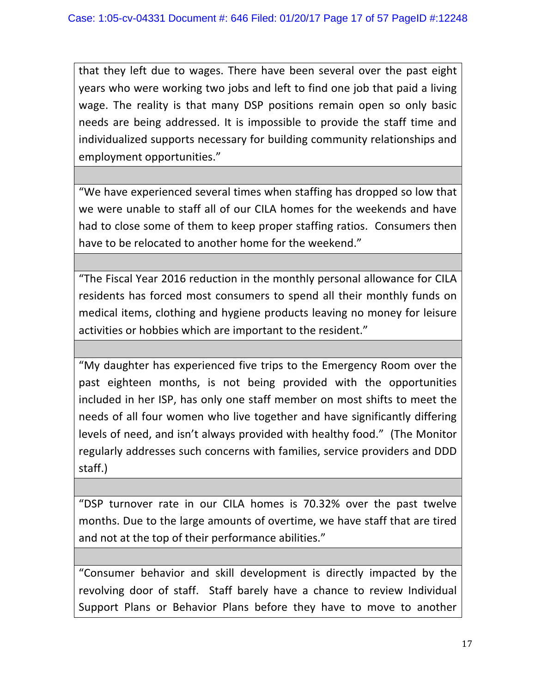that they left due to wages. There have been several over the past eight years who were working two jobs and left to find one job that paid a living wage. The reality is that many DSP positions remain open so only basic needs are being addressed. It is impossible to provide the staff time and individualized supports necessary for building community relationships and employment opportunities."

"We have experienced several times when staffing has dropped so low that we were unable to staff all of our CILA homes for the weekends and have had to close some of them to keep proper staffing ratios. Consumers then have to be relocated to another home for the weekend."

"The Fiscal Year 2016 reduction in the monthly personal allowance for CILA residents has forced most consumers to spend all their monthly funds on medical items, clothing and hygiene products leaving no money for leisure activities or hobbies which are important to the resident."

"My daughter has experienced five trips to the Emergency Room over the past eighteen months, is not being provided with the opportunities included in her ISP, has only one staff member on most shifts to meet the needs of all four women who live together and have significantly differing levels of need, and isn't always provided with healthy food." (The Monitor regularly addresses such concerns with families, service providers and DDD staff.) 

"DSP turnover rate in our CILA homes is 70.32% over the past twelve months. Due to the large amounts of overtime, we have staff that are tired and not at the top of their performance abilities."

"Consumer behavior and skill development is directly impacted by the revolving door of staff. Staff barely have a chance to review Individual Support Plans or Behavior Plans before they have to move to another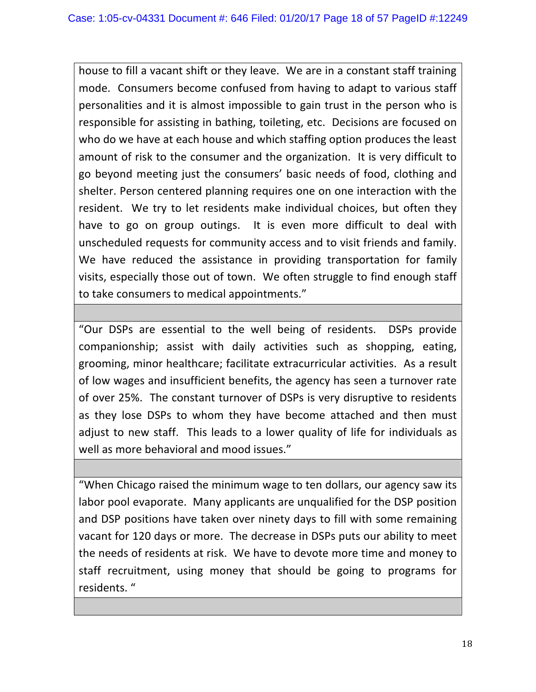house to fill a vacant shift or they leave. We are in a constant staff training mode. Consumers become confused from having to adapt to various staff personalities and it is almost impossible to gain trust in the person who is responsible for assisting in bathing, toileting, etc. Decisions are focused on who do we have at each house and which staffing option produces the least amount of risk to the consumer and the organization. It is very difficult to go beyond meeting just the consumers' basic needs of food, clothing and shelter. Person centered planning requires one on one interaction with the resident. We try to let residents make individual choices, but often they have to go on group outings. It is even more difficult to deal with unscheduled requests for community access and to visit friends and family. We have reduced the assistance in providing transportation for family visits, especially those out of town. We often struggle to find enough staff to take consumers to medical appointments."

"Our DSPs are essential to the well being of residents. DSPs provide companionship; assist with daily activities such as shopping, eating, grooming, minor healthcare; facilitate extracurricular activities. As a result of low wages and insufficient benefits, the agency has seen a turnover rate of over 25%. The constant turnover of DSPs is very disruptive to residents as they lose DSPs to whom they have become attached and then must adjust to new staff. This leads to a lower quality of life for individuals as well as more behavioral and mood issues."

"When Chicago raised the minimum wage to ten dollars, our agency saw its labor pool evaporate. Many applicants are unqualified for the DSP position and DSP positions have taken over ninety days to fill with some remaining vacant for 120 days or more. The decrease in DSPs puts our ability to meet the needs of residents at risk. We have to devote more time and money to staff recruitment, using money that should be going to programs for residents. "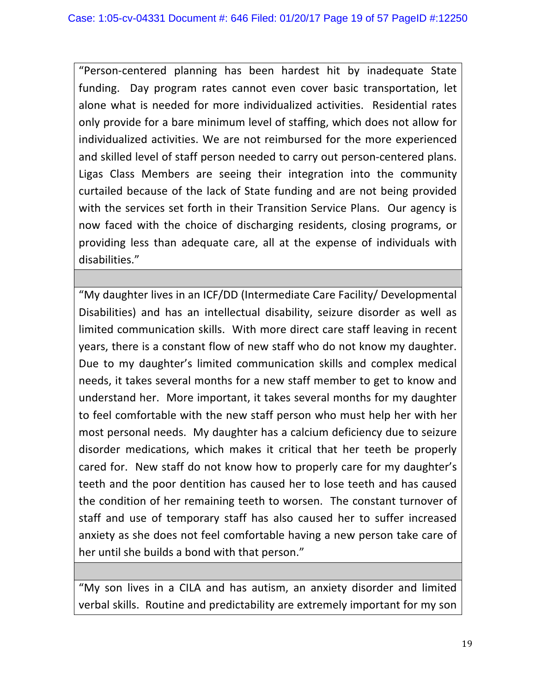"Person-centered planning has been hardest hit by inadequate State funding. Day program rates cannot even cover basic transportation, let alone what is needed for more individualized activities. Residential rates only provide for a bare minimum level of staffing, which does not allow for individualized activities. We are not reimbursed for the more experienced and skilled level of staff person needed to carry out person-centered plans. Ligas Class Members are seeing their integration into the community curtailed because of the lack of State funding and are not being provided with the services set forth in their Transition Service Plans. Our agency is now faced with the choice of discharging residents, closing programs, or providing less than adequate care, all at the expense of individuals with disabilities."

"My daughter lives in an ICF/DD (Intermediate Care Facility/ Developmental Disabilities) and has an intellectual disability, seizure disorder as well as limited communication skills. With more direct care staff leaving in recent years, there is a constant flow of new staff who do not know my daughter. Due to my daughter's limited communication skills and complex medical needs, it takes several months for a new staff member to get to know and understand her. More important, it takes several months for my daughter to feel comfortable with the new staff person who must help her with her most personal needs. My daughter has a calcium deficiency due to seizure disorder medications, which makes it critical that her teeth be properly cared for. New staff do not know how to properly care for my daughter's teeth and the poor dentition has caused her to lose teeth and has caused the condition of her remaining teeth to worsen. The constant turnover of staff and use of temporary staff has also caused her to suffer increased anxiety as she does not feel comfortable having a new person take care of her until she builds a bond with that person."

"My son lives in a CILA and has autism, an anxiety disorder and limited verbal skills. Routine and predictability are extremely important for my son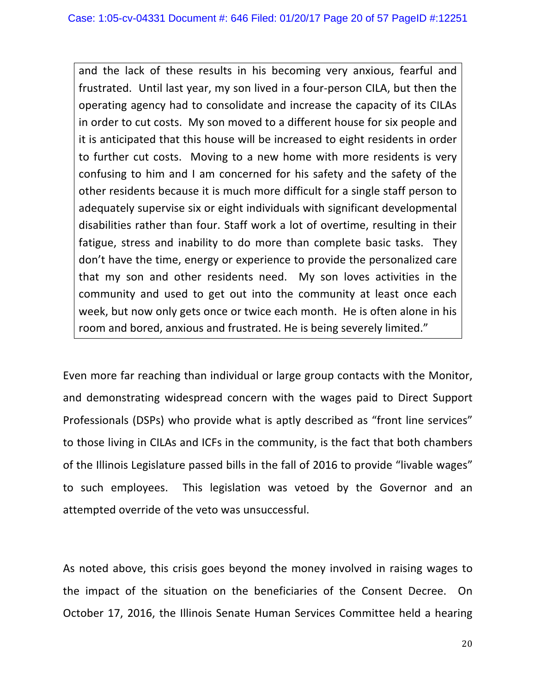and the lack of these results in his becoming very anxious, fearful and frustrated. Until last year, my son lived in a four-person CILA, but then the operating agency had to consolidate and increase the capacity of its CILAs in order to cut costs. My son moved to a different house for six people and it is anticipated that this house will be increased to eight residents in order to further cut costs. Moving to a new home with more residents is very confusing to him and I am concerned for his safety and the safety of the other residents because it is much more difficult for a single staff person to adequately supervise six or eight individuals with significant developmental disabilities rather than four. Staff work a lot of overtime, resulting in their fatigue, stress and inability to do more than complete basic tasks. They don't have the time, energy or experience to provide the personalized care that my son and other residents need. My son loves activities in the community and used to get out into the community at least once each week, but now only gets once or twice each month. He is often alone in his room and bored, anxious and frustrated. He is being severely limited."

Even more far reaching than individual or large group contacts with the Monitor, and demonstrating widespread concern with the wages paid to Direct Support Professionals (DSPs) who provide what is aptly described as "front line services" to those living in CILAs and ICFs in the community, is the fact that both chambers of the Illinois Legislature passed bills in the fall of 2016 to provide "livable wages" to such employees. This legislation was vetoed by the Governor and an attempted override of the veto was unsuccessful.

As noted above, this crisis goes beyond the money involved in raising wages to the impact of the situation on the beneficiaries of the Consent Decree. On October 17, 2016, the Illinois Senate Human Services Committee held a hearing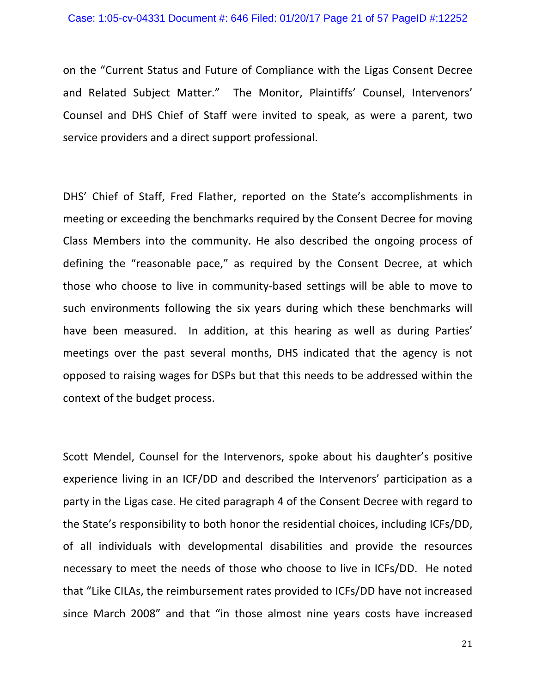on the "Current Status and Future of Compliance with the Ligas Consent Decree and Related Subject Matter." The Monitor, Plaintiffs' Counsel, Intervenors' Counsel and DHS Chief of Staff were invited to speak, as were a parent, two service providers and a direct support professional.

DHS' Chief of Staff, Fred Flather, reported on the State's accomplishments in meeting or exceeding the benchmarks required by the Consent Decree for moving Class Members into the community. He also described the ongoing process of defining the "reasonable pace," as required by the Consent Decree, at which those who choose to live in community-based settings will be able to move to such environments following the six years during which these benchmarks will have been measured. In addition, at this hearing as well as during Parties' meetings over the past several months, DHS indicated that the agency is not opposed to raising wages for DSPs but that this needs to be addressed within the context of the budget process.

Scott Mendel, Counsel for the Intervenors, spoke about his daughter's positive experience living in an ICF/DD and described the Intervenors' participation as a party in the Ligas case. He cited paragraph 4 of the Consent Decree with regard to the State's responsibility to both honor the residential choices, including ICFs/DD, of all individuals with developmental disabilities and provide the resources necessary to meet the needs of those who choose to live in ICFs/DD. He noted that "Like CILAs, the reimbursement rates provided to ICFs/DD have not increased since March 2008" and that "in those almost nine years costs have increased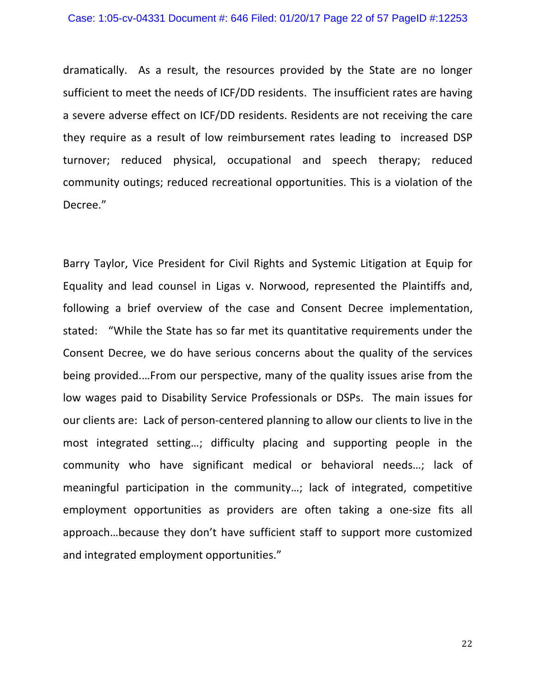dramatically. As a result, the resources provided by the State are no longer sufficient to meet the needs of ICF/DD residents. The insufficient rates are having a severe adverse effect on ICF/DD residents. Residents are not receiving the care they require as a result of low reimbursement rates leading to increased DSP turnover; reduced physical, occupational and speech therapy; reduced community outings; reduced recreational opportunities. This is a violation of the Decree."

Barry Taylor, Vice President for Civil Rights and Systemic Litigation at Equip for Equality and lead counsel in Ligas v. Norwood, represented the Plaintiffs and, following a brief overview of the case and Consent Decree implementation, stated: "While the State has so far met its quantitative requirements under the Consent Decree, we do have serious concerns about the quality of the services being provided.... From our perspective, many of the quality issues arise from the low wages paid to Disability Service Professionals or DSPs. The main issues for our clients are: Lack of person-centered planning to allow our clients to live in the most integrated setting...; difficulty placing and supporting people in the community who have significant medical or behavioral needs...; lack of meaningful participation in the community...; lack of integrated, competitive employment opportunities as providers are often taking a one-size fits all approach...because they don't have sufficient staff to support more customized and integrated employment opportunities."

22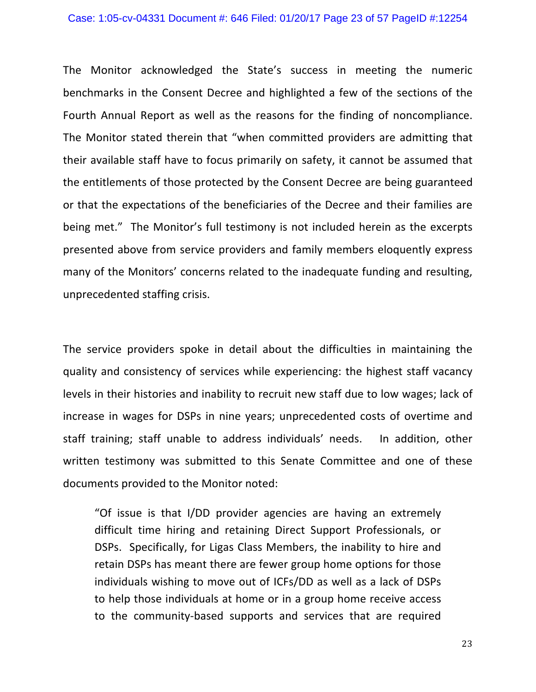#### Case: 1:05-cv-04331 Document #: 646 Filed: 01/20/17 Page 23 of 57 PageID #:12254

The Monitor acknowledged the State's success in meeting the numeric benchmarks in the Consent Decree and highlighted a few of the sections of the Fourth Annual Report as well as the reasons for the finding of noncompliance. The Monitor stated therein that "when committed providers are admitting that their available staff have to focus primarily on safety, it cannot be assumed that the entitlements of those protected by the Consent Decree are being guaranteed or that the expectations of the beneficiaries of the Decree and their families are being met." The Monitor's full testimony is not included herein as the excerpts presented above from service providers and family members eloquently express many of the Monitors' concerns related to the inadequate funding and resulting, unprecedented staffing crisis.

The service providers spoke in detail about the difficulties in maintaining the quality and consistency of services while experiencing: the highest staff vacancy levels in their histories and inability to recruit new staff due to low wages; lack of increase in wages for DSPs in nine years; unprecedented costs of overtime and staff training; staff unable to address individuals' needs. In addition, other written testimony was submitted to this Senate Committee and one of these documents provided to the Monitor noted:

"Of issue is that I/DD provider agencies are having an extremely difficult time hiring and retaining Direct Support Professionals, or DSPs. Specifically, for Ligas Class Members, the inability to hire and retain DSPs has meant there are fewer group home options for those individuals wishing to move out of ICFs/DD as well as a lack of DSPs to help those individuals at home or in a group home receive access to the community-based supports and services that are required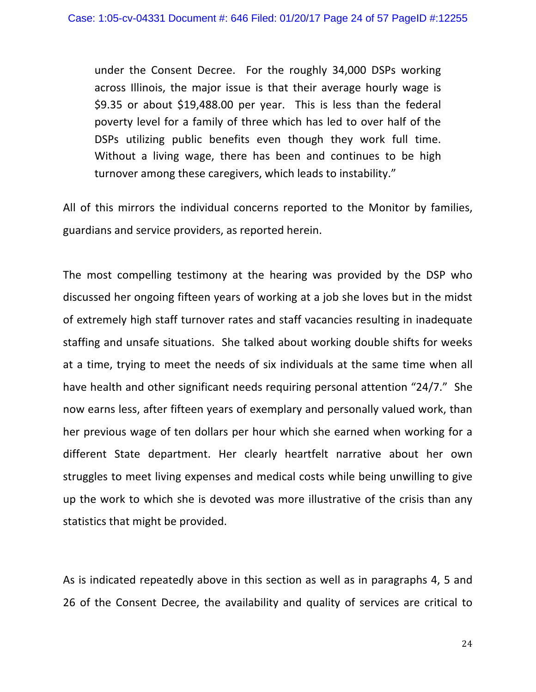under the Consent Decree. For the roughly 34,000 DSPs working across Illinois, the major issue is that their average hourly wage is  $$9.35$  or about  $$19,488.00$  per year. This is less than the federal poverty level for a family of three which has led to over half of the DSPs utilizing public benefits even though they work full time. Without a living wage, there has been and continues to be high turnover among these caregivers, which leads to instability."

All of this mirrors the individual concerns reported to the Monitor by families, guardians and service providers, as reported herein.

The most compelling testimony at the hearing was provided by the DSP who discussed her ongoing fifteen years of working at a job she loves but in the midst of extremely high staff turnover rates and staff vacancies resulting in inadequate staffing and unsafe situations. She talked about working double shifts for weeks at a time, trying to meet the needs of six individuals at the same time when all have health and other significant needs requiring personal attention "24/7." She now earns less, after fifteen years of exemplary and personally valued work, than her previous wage of ten dollars per hour which she earned when working for a different State department. Her clearly heartfelt narrative about her own struggles to meet living expenses and medical costs while being unwilling to give up the work to which she is devoted was more illustrative of the crisis than any statistics that might be provided.

As is indicated repeatedly above in this section as well as in paragraphs 4, 5 and 26 of the Consent Decree, the availability and quality of services are critical to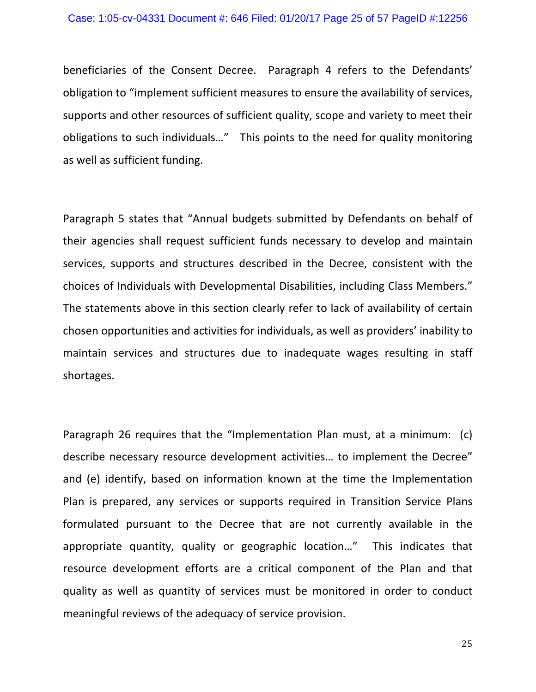beneficiaries of the Consent Decree. Paragraph 4 refers to the Defendants' obligation to "implement sufficient measures to ensure the availability of services, supports and other resources of sufficient quality, scope and variety to meet their obligations to such individuals..." This points to the need for quality monitoring as well as sufficient funding.

Paragraph 5 states that "Annual budgets submitted by Defendants on behalf of their agencies shall request sufficient funds necessary to develop and maintain services, supports and structures described in the Decree, consistent with the choices of Individuals with Developmental Disabilities, including Class Members." The statements above in this section clearly refer to lack of availability of certain chosen opportunities and activities for individuals, as well as providers' inability to maintain services and structures due to inadequate wages resulting in staff shortages. 

Paragraph 26 requires that the "Implementation Plan must, at a minimum:  $(c)$ describe necessary resource development activities... to implement the Decree" and (e) identify, based on information known at the time the Implementation Plan is prepared, any services or supports required in Transition Service Plans formulated pursuant to the Decree that are not currently available in the appropriate quantity, quality or geographic location..." This indicates that resource development efforts are a critical component of the Plan and that quality as well as quantity of services must be monitored in order to conduct meaningful reviews of the adequacy of service provision.

25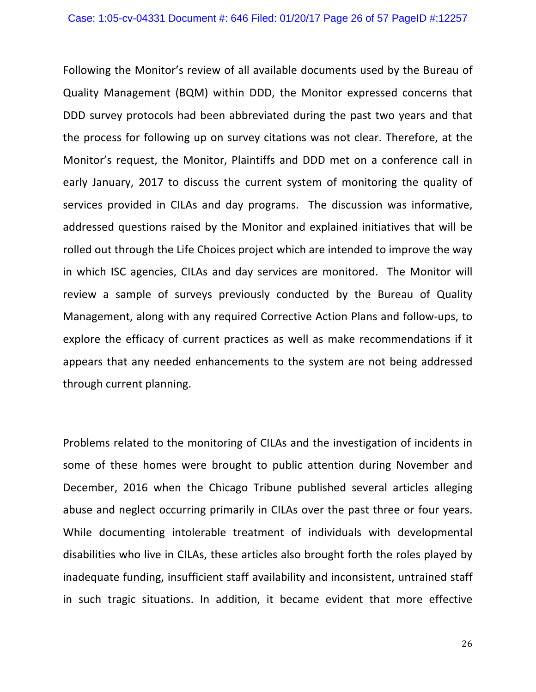Following the Monitor's review of all available documents used by the Bureau of Quality Management (BQM) within DDD, the Monitor expressed concerns that DDD survey protocols had been abbreviated during the past two years and that the process for following up on survey citations was not clear. Therefore, at the Monitor's request, the Monitor, Plaintiffs and DDD met on a conference call in early January, 2017 to discuss the current system of monitoring the quality of services provided in CILAs and day programs. The discussion was informative, addressed questions raised by the Monitor and explained initiatives that will be rolled out through the Life Choices project which are intended to improve the way in which ISC agencies, CILAs and day services are monitored. The Monitor will review a sample of surveys previously conducted by the Bureau of Quality Management, along with any required Corrective Action Plans and follow-ups, to explore the efficacy of current practices as well as make recommendations if it appears that any needed enhancements to the system are not being addressed through current planning.

Problems related to the monitoring of CILAs and the investigation of incidents in some of these homes were brought to public attention during November and December, 2016 when the Chicago Tribune published several articles alleging abuse and neglect occurring primarily in CILAs over the past three or four years. While documenting intolerable treatment of individuals with developmental disabilities who live in CILAs, these articles also brought forth the roles played by inadequate funding, insufficient staff availability and inconsistent, untrained staff in such tragic situations. In addition, it became evident that more effective

26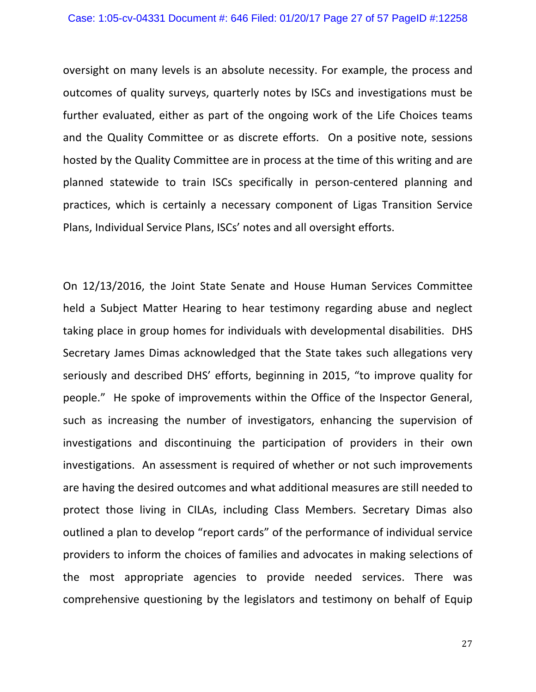oversight on many levels is an absolute necessity. For example, the process and outcomes of quality surveys, quarterly notes by ISCs and investigations must be further evaluated, either as part of the ongoing work of the Life Choices teams and the Quality Committee or as discrete efforts. On a positive note, sessions hosted by the Quality Committee are in process at the time of this writing and are planned statewide to train ISCs specifically in person-centered planning and practices, which is certainly a necessary component of Ligas Transition Service Plans, Individual Service Plans, ISCs' notes and all oversight efforts.

On 12/13/2016, the Joint State Senate and House Human Services Committee held a Subject Matter Hearing to hear testimony regarding abuse and neglect taking place in group homes for individuals with developmental disabilities. DHS Secretary James Dimas acknowledged that the State takes such allegations very seriously and described DHS' efforts, beginning in 2015, "to improve quality for people." He spoke of improvements within the Office of the Inspector General, such as increasing the number of investigators, enhancing the supervision of investigations and discontinuing the participation of providers in their own investigations. An assessment is required of whether or not such improvements are having the desired outcomes and what additional measures are still needed to protect those living in CILAs, including Class Members. Secretary Dimas also outlined a plan to develop "report cards" of the performance of individual service providers to inform the choices of families and advocates in making selections of the most appropriate agencies to provide needed services. There was comprehensive questioning by the legislators and testimony on behalf of Equip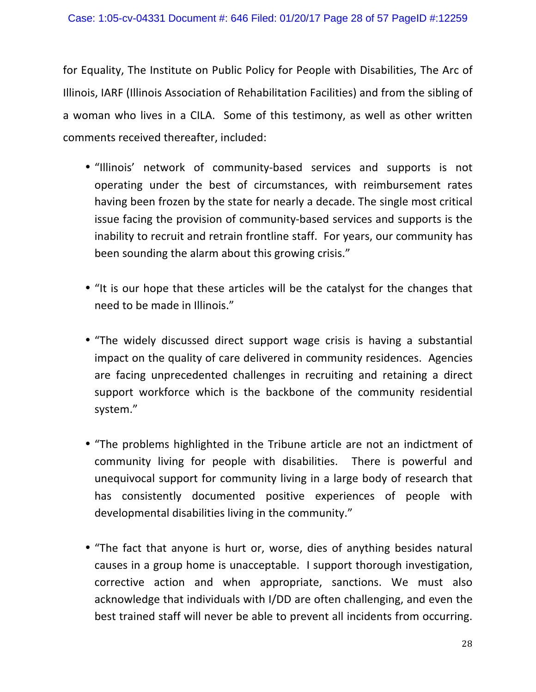for Equality, The Institute on Public Policy for People with Disabilities, The Arc of Illinois, IARF (Illinois Association of Rehabilitation Facilities) and from the sibling of a woman who lives in a CILA. Some of this testimony, as well as other written comments received thereafter, included:

- "Illinois' network of community-based services and supports is not operating under the best of circumstances, with reimbursement rates having been frozen by the state for nearly a decade. The single most critical issue facing the provision of community-based services and supports is the inability to recruit and retrain frontline staff. For years, our community has been sounding the alarm about this growing crisis."
- "It is our hope that these articles will be the catalyst for the changes that need to be made in Illinois."
- "The widely discussed direct support wage crisis is having a substantial impact on the quality of care delivered in community residences. Agencies are facing unprecedented challenges in recruiting and retaining a direct support workforce which is the backbone of the community residential system."
- "The problems highlighted in the Tribune article are not an indictment of community living for people with disabilities. There is powerful and unequivocal support for community living in a large body of research that has consistently documented positive experiences of people with developmental disabilities living in the community."
- "The fact that anyone is hurt or, worse, dies of anything besides natural causes in a group home is unacceptable. I support thorough investigation, corrective action and when appropriate, sanctions. We must also acknowledge that individuals with I/DD are often challenging, and even the best trained staff will never be able to prevent all incidents from occurring.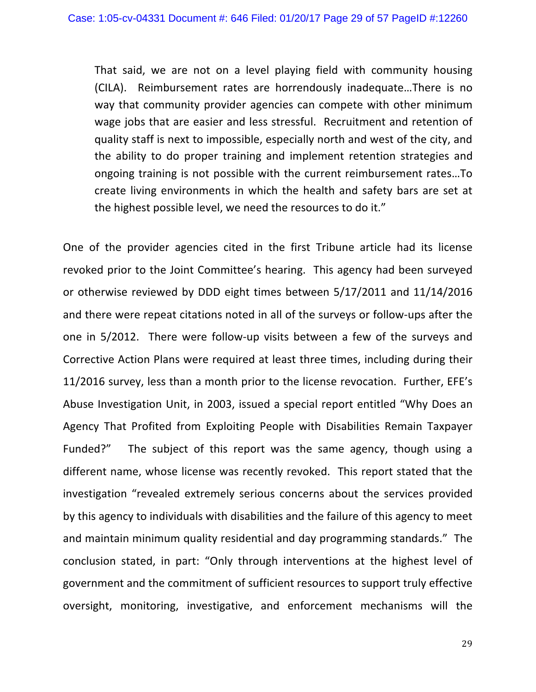That said, we are not on a level playing field with community housing (CILA). Reimbursement rates are horrendously inadequate...There is no way that community provider agencies can compete with other minimum wage jobs that are easier and less stressful. Recruitment and retention of quality staff is next to impossible, especially north and west of the city, and the ability to do proper training and implement retention strategies and ongoing training is not possible with the current reimbursement rates...To create living environments in which the health and safety bars are set at the highest possible level, we need the resources to do it."

One of the provider agencies cited in the first Tribune article had its license revoked prior to the Joint Committee's hearing. This agency had been surveyed or otherwise reviewed by DDD eight times between 5/17/2011 and 11/14/2016 and there were repeat citations noted in all of the surveys or follow-ups after the one in 5/2012. There were follow-up visits between a few of the surveys and Corrective Action Plans were required at least three times, including during their 11/2016 survey, less than a month prior to the license revocation. Further, EFE's Abuse Investigation Unit, in 2003, issued a special report entitled "Why Does an Agency That Profited from Exploiting People with Disabilities Remain Taxpayer Funded?" The subject of this report was the same agency, though using a different name, whose license was recently revoked. This report stated that the investigation "revealed extremely serious concerns about the services provided by this agency to individuals with disabilities and the failure of this agency to meet and maintain minimum quality residential and day programming standards." The conclusion stated, in part: "Only through interventions at the highest level of government and the commitment of sufficient resources to support truly effective oversight, monitoring, investigative, and enforcement mechanisms will the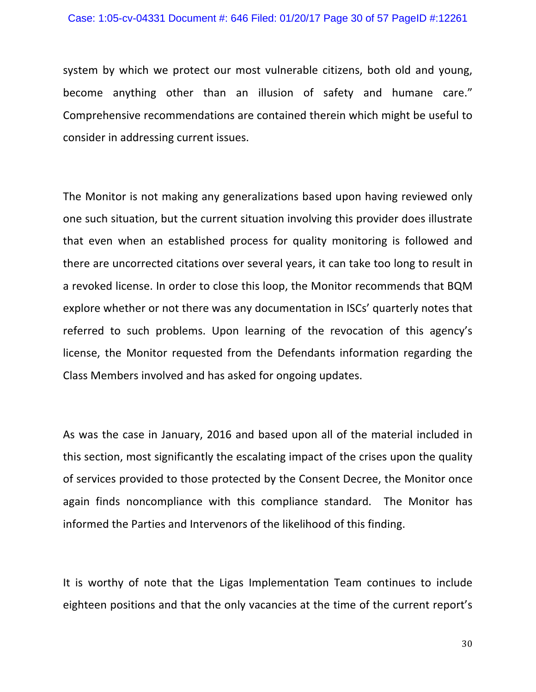system by which we protect our most vulnerable citizens, both old and young, become anything other than an illusion of safety and humane care." Comprehensive recommendations are contained therein which might be useful to consider in addressing current issues.

The Monitor is not making any generalizations based upon having reviewed only one such situation, but the current situation involving this provider does illustrate that even when an established process for quality monitoring is followed and there are uncorrected citations over several years, it can take too long to result in a revoked license. In order to close this loop, the Monitor recommends that BQM explore whether or not there was any documentation in ISCs' quarterly notes that referred to such problems. Upon learning of the revocation of this agency's license, the Monitor requested from the Defendants information regarding the Class Members involved and has asked for ongoing updates.

As was the case in January, 2016 and based upon all of the material included in this section, most significantly the escalating impact of the crises upon the quality of services provided to those protected by the Consent Decree, the Monitor once again finds noncompliance with this compliance standard. The Monitor has informed the Parties and Intervenors of the likelihood of this finding.

It is worthy of note that the Ligas Implementation Team continues to include eighteen positions and that the only vacancies at the time of the current report's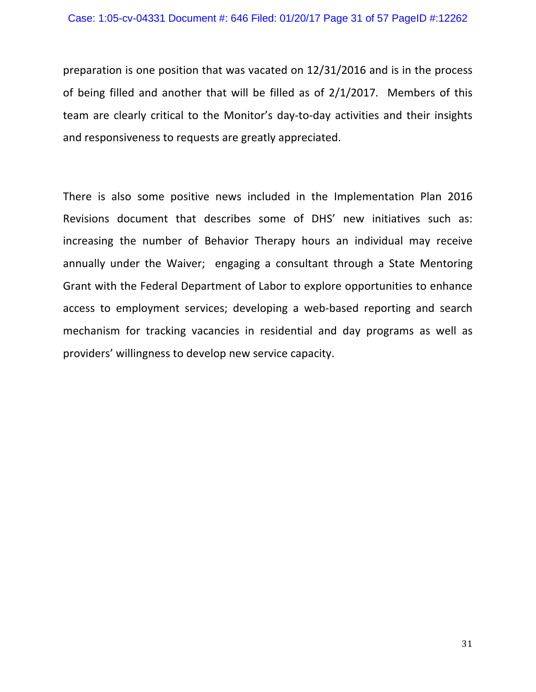preparation is one position that was vacated on  $12/31/2016$  and is in the process of being filled and another that will be filled as of  $2/1/2017$ . Members of this team are clearly critical to the Monitor's day-to-day activities and their insights and responsiveness to requests are greatly appreciated.

There is also some positive news included in the Implementation Plan 2016 Revisions document that describes some of DHS' new initiatives such as: increasing the number of Behavior Therapy hours an individual may receive annually under the Waiver; engaging a consultant through a State Mentoring Grant with the Federal Department of Labor to explore opportunities to enhance access to employment services; developing a web-based reporting and search mechanism for tracking vacancies in residential and day programs as well as providers' willingness to develop new service capacity.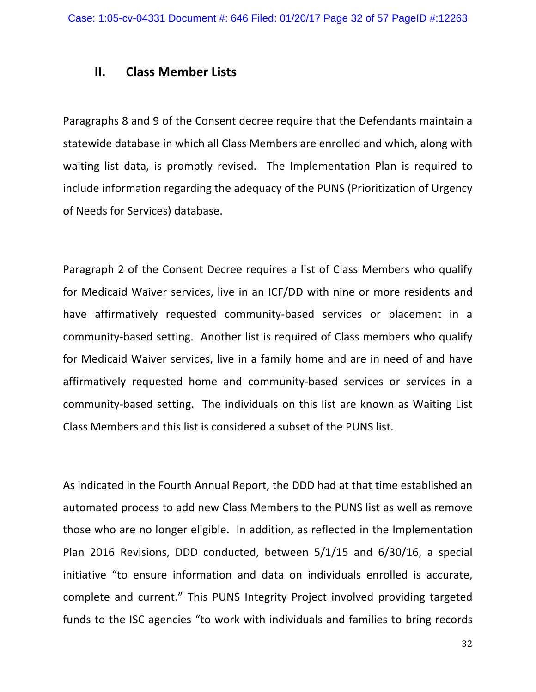### **II. Class Member Lists**

Paragraphs 8 and 9 of the Consent decree require that the Defendants maintain a statewide database in which all Class Members are enrolled and which, along with waiting list data, is promptly revised. The Implementation Plan is required to include information regarding the adequacy of the PUNS (Prioritization of Urgency of Needs for Services) database.

Paragraph 2 of the Consent Decree requires a list of Class Members who qualify for Medicaid Waiver services, live in an ICF/DD with nine or more residents and have affirmatively requested community-based services or placement in a community-based setting. Another list is required of Class members who qualify for Medicaid Waiver services, live in a family home and are in need of and have affirmatively requested home and community-based services or services in a community-based setting. The individuals on this list are known as Waiting List Class Members and this list is considered a subset of the PUNS list.

As indicated in the Fourth Annual Report, the DDD had at that time established an automated process to add new Class Members to the PUNS list as well as remove those who are no longer eligible. In addition, as reflected in the Implementation Plan 2016 Revisions, DDD conducted, between  $5/1/15$  and  $6/30/16$ , a special initiative "to ensure information and data on individuals enrolled is accurate, complete and current." This PUNS Integrity Project involved providing targeted funds to the ISC agencies "to work with individuals and families to bring records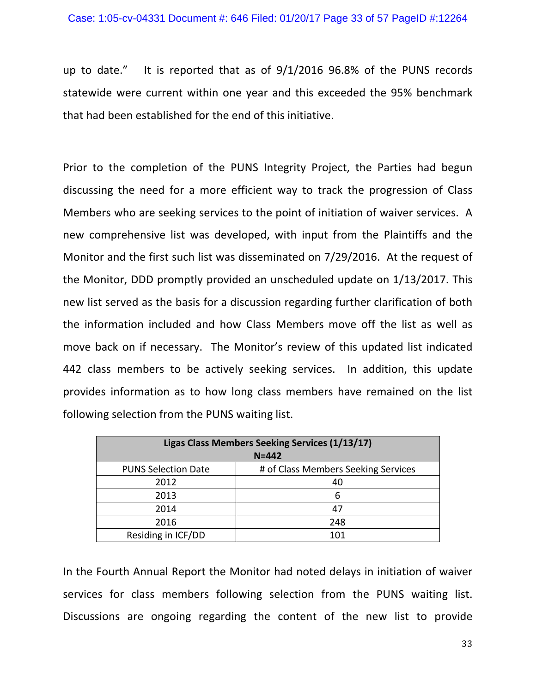up to date." It is reported that as of  $9/1/2016$  96.8% of the PUNS records statewide were current within one year and this exceeded the 95% benchmark that had been established for the end of this initiative.

Prior to the completion of the PUNS Integrity Project, the Parties had begun discussing the need for a more efficient way to track the progression of Class Members who are seeking services to the point of initiation of waiver services. A new comprehensive list was developed, with input from the Plaintiffs and the Monitor and the first such list was disseminated on 7/29/2016. At the request of the Monitor, DDD promptly provided an unscheduled update on 1/13/2017. This new list served as the basis for a discussion regarding further clarification of both the information included and how Class Members move off the list as well as move back on if necessary. The Monitor's review of this updated list indicated 442 class members to be actively seeking services. In addition, this update provides information as to how long class members have remained on the list following selection from the PUNS waiting list.

| Ligas Class Members Seeking Services (1/13/17)<br>$N = 442$ |                                     |  |  |  |  |  |
|-------------------------------------------------------------|-------------------------------------|--|--|--|--|--|
| <b>PUNS Selection Date</b>                                  | # of Class Members Seeking Services |  |  |  |  |  |
| 2012                                                        | 40                                  |  |  |  |  |  |
| 2013                                                        | 6                                   |  |  |  |  |  |
| 2014                                                        | 47                                  |  |  |  |  |  |
| 2016                                                        | 248                                 |  |  |  |  |  |
| Residing in ICF/DD                                          | 101                                 |  |  |  |  |  |

In the Fourth Annual Report the Monitor had noted delays in initiation of waiver services for class members following selection from the PUNS waiting list. Discussions are ongoing regarding the content of the new list to provide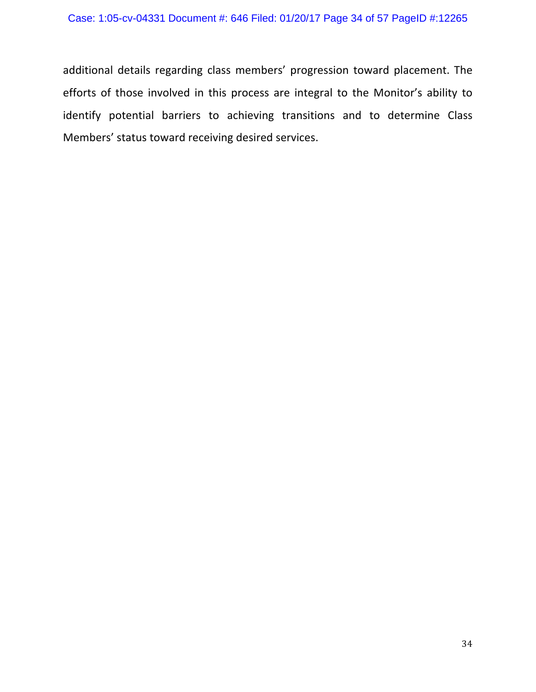additional details regarding class members' progression toward placement. The efforts of those involved in this process are integral to the Monitor's ability to identify potential barriers to achieving transitions and to determine Class Members' status toward receiving desired services.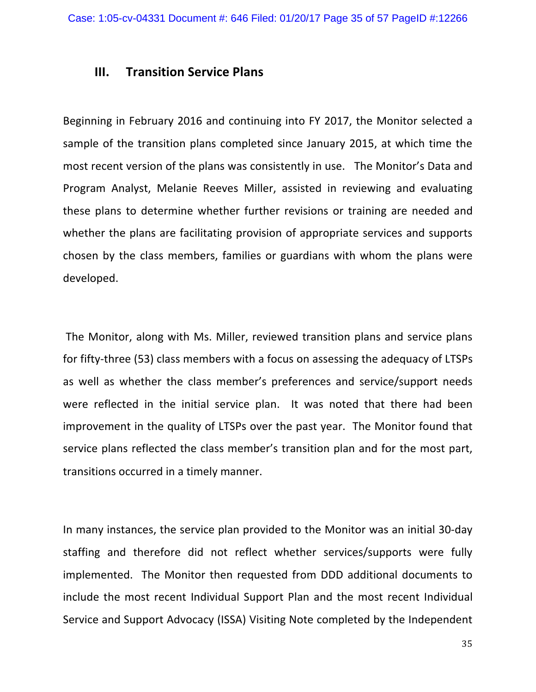### **III. Transition Service Plans**

Beginning in February 2016 and continuing into FY 2017, the Monitor selected a sample of the transition plans completed since January 2015, at which time the most recent version of the plans was consistently in use. The Monitor's Data and Program Analyst, Melanie Reeves Miller, assisted in reviewing and evaluating these plans to determine whether further revisions or training are needed and whether the plans are facilitating provision of appropriate services and supports chosen by the class members, families or guardians with whom the plans were developed. 

The Monitor, along with Ms. Miller, reviewed transition plans and service plans for fifty-three (53) class members with a focus on assessing the adequacy of LTSPs as well as whether the class member's preferences and service/support needs were reflected in the initial service plan. It was noted that there had been improvement in the quality of LTSPs over the past year. The Monitor found that service plans reflected the class member's transition plan and for the most part, transitions occurred in a timely manner.

In many instances, the service plan provided to the Monitor was an initial 30-day staffing and therefore did not reflect whether services/supports were fully implemented. The Monitor then requested from DDD additional documents to include the most recent Individual Support Plan and the most recent Individual Service and Support Advocacy (ISSA) Visiting Note completed by the Independent

35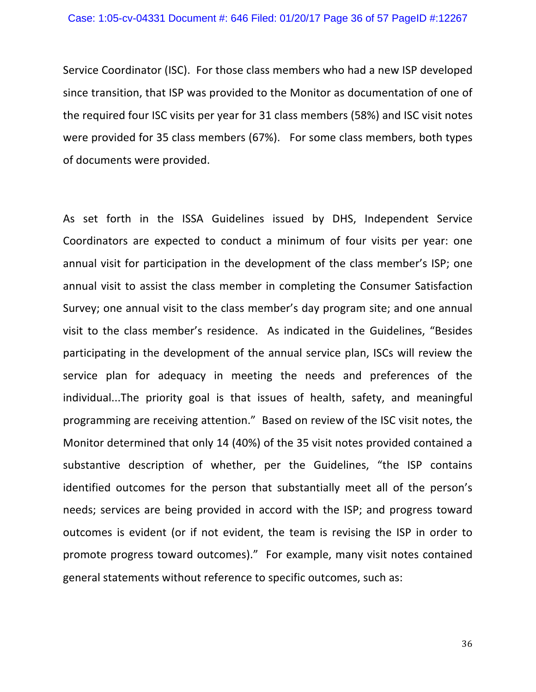Service Coordinator (ISC). For those class members who had a new ISP developed since transition, that ISP was provided to the Monitor as documentation of one of the required four ISC visits per year for 31 class members (58%) and ISC visit notes were provided for 35 class members (67%). For some class members, both types of documents were provided.

As set forth in the ISSA Guidelines issued by DHS, Independent Service Coordinators are expected to conduct a minimum of four visits per year: one annual visit for participation in the development of the class member's ISP; one annual visit to assist the class member in completing the Consumer Satisfaction Survey; one annual visit to the class member's day program site; and one annual visit to the class member's residence. As indicated in the Guidelines, "Besides participating in the development of the annual service plan, ISCs will review the service plan for adequacy in meeting the needs and preferences of the individual...The priority goal is that issues of health, safety, and meaningful programming are receiving attention." Based on review of the ISC visit notes, the Monitor determined that only 14 (40%) of the 35 visit notes provided contained a substantive description of whether, per the Guidelines, "the ISP contains identified outcomes for the person that substantially meet all of the person's needs; services are being provided in accord with the ISP; and progress toward outcomes is evident (or if not evident, the team is revising the ISP in order to promote progress toward outcomes)." For example, many visit notes contained general statements without reference to specific outcomes, such as: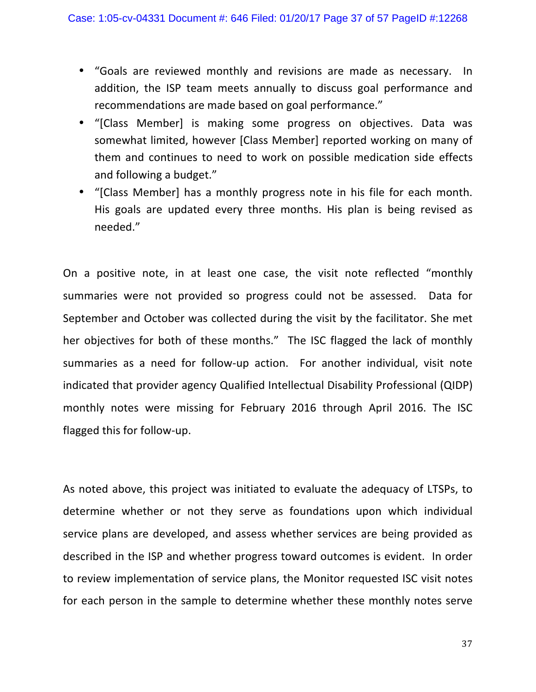- "Goals are reviewed monthly and revisions are made as necessary. In addition, the ISP team meets annually to discuss goal performance and recommendations are made based on goal performance."
- "[Class Member] is making some progress on objectives. Data was somewhat limited, however [Class Member] reported working on many of them and continues to need to work on possible medication side effects and following a budget."
- "[Class Member] has a monthly progress note in his file for each month. His goals are updated every three months. His plan is being revised as needed."

On a positive note, in at least one case, the visit note reflected "monthly summaries were not provided so progress could not be assessed. Data for September and October was collected during the visit by the facilitator. She met her objectives for both of these months." The ISC flagged the lack of monthly summaries as a need for follow-up action. For another individual, visit note indicated that provider agency Qualified Intellectual Disability Professional (QIDP) monthly notes were missing for February 2016 through April 2016. The ISC flagged this for follow-up.

As noted above, this project was initiated to evaluate the adequacy of LTSPs, to determine whether or not they serve as foundations upon which individual service plans are developed, and assess whether services are being provided as described in the ISP and whether progress toward outcomes is evident. In order to review implementation of service plans, the Monitor requested ISC visit notes for each person in the sample to determine whether these monthly notes serve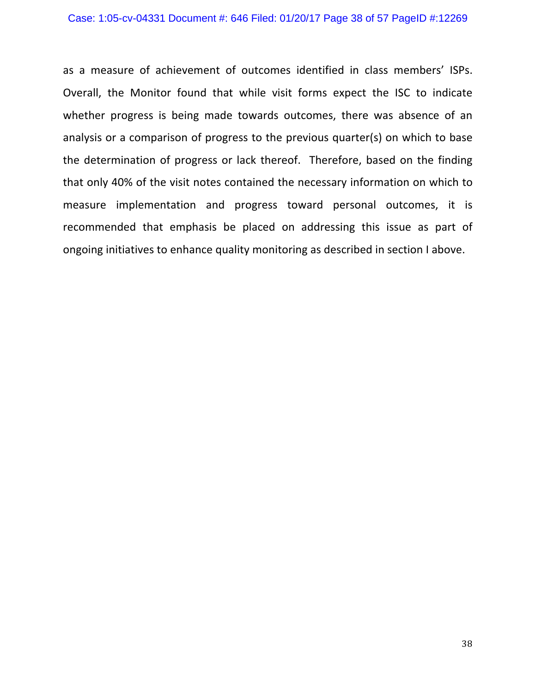as a measure of achievement of outcomes identified in class members' ISPs. Overall, the Monitor found that while visit forms expect the ISC to indicate whether progress is being made towards outcomes, there was absence of an analysis or a comparison of progress to the previous quarter(s) on which to base the determination of progress or lack thereof. Therefore, based on the finding that only 40% of the visit notes contained the necessary information on which to measure implementation and progress toward personal outcomes, it is recommended that emphasis be placed on addressing this issue as part of ongoing initiatives to enhance quality monitoring as described in section I above.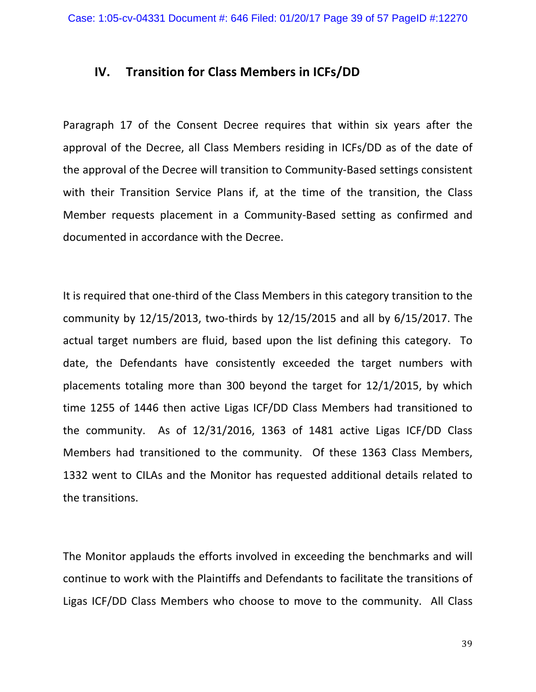### **IV.** Transition for Class Members in ICFs/DD

Paragraph 17 of the Consent Decree requires that within six years after the approval of the Decree, all Class Members residing in ICFs/DD as of the date of the approval of the Decree will transition to Community-Based settings consistent with their Transition Service Plans if, at the time of the transition, the Class Member requests placement in a Community-Based setting as confirmed and documented in accordance with the Decree.

It is required that one-third of the Class Members in this category transition to the community by  $12/15/2013$ , two-thirds by  $12/15/2015$  and all by  $6/15/2017$ . The actual target numbers are fluid, based upon the list defining this category. To date, the Defendants have consistently exceeded the target numbers with placements totaling more than  $300$  beyond the target for  $12/1/2015$ , by which time 1255 of 1446 then active Ligas ICF/DD Class Members had transitioned to the community. As of  $12/31/2016$ ,  $1363$  of  $1481$  active Ligas ICF/DD Class Members had transitioned to the community. Of these 1363 Class Members, 1332 went to CILAs and the Monitor has requested additional details related to the transitions.

The Monitor applauds the efforts involved in exceeding the benchmarks and will continue to work with the Plaintiffs and Defendants to facilitate the transitions of Ligas ICF/DD Class Members who choose to move to the community. All Class

39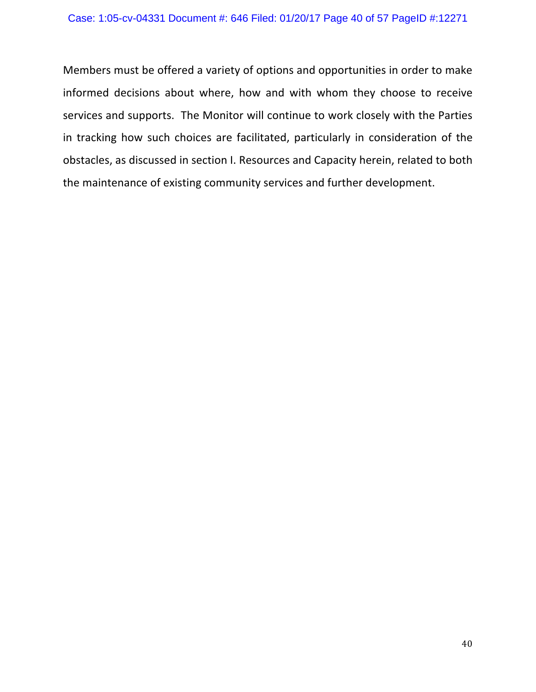Members must be offered a variety of options and opportunities in order to make informed decisions about where, how and with whom they choose to receive services and supports. The Monitor will continue to work closely with the Parties in tracking how such choices are facilitated, particularly in consideration of the obstacles, as discussed in section I. Resources and Capacity herein, related to both the maintenance of existing community services and further development.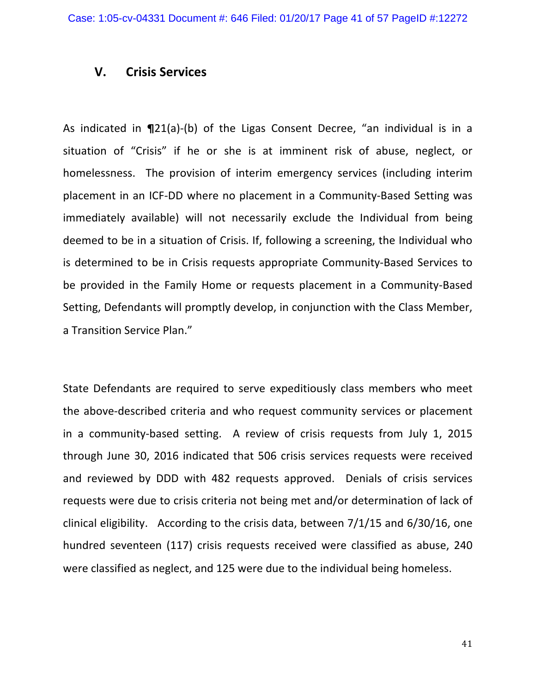### **V. Crisis Services**

As indicated in **¶**21(a)-(b) of the Ligas Consent Decree, "an individual is in a situation of "Crisis" if he or she is at imminent risk of abuse, neglect, or homelessness. The provision of interim emergency services (including interim placement in an ICF-DD where no placement in a Community-Based Setting was immediately available) will not necessarily exclude the Individual from being deemed to be in a situation of Crisis. If, following a screening, the Individual who is determined to be in Crisis requests appropriate Community-Based Services to be provided in the Family Home or requests placement in a Community-Based Setting, Defendants will promptly develop, in conjunction with the Class Member, a Transition Service Plan."

State Defendants are required to serve expeditiously class members who meet the above-described criteria and who request community services or placement in a community-based setting. A review of crisis requests from July 1, 2015 through June 30, 2016 indicated that 506 crisis services requests were received and reviewed by DDD with 482 requests approved. Denials of crisis services requests were due to crisis criteria not being met and/or determination of lack of clinical eligibility. According to the crisis data, between  $7/1/15$  and  $6/30/16$ , one hundred seventeen (117) crisis requests received were classified as abuse, 240 were classified as neglect, and 125 were due to the individual being homeless.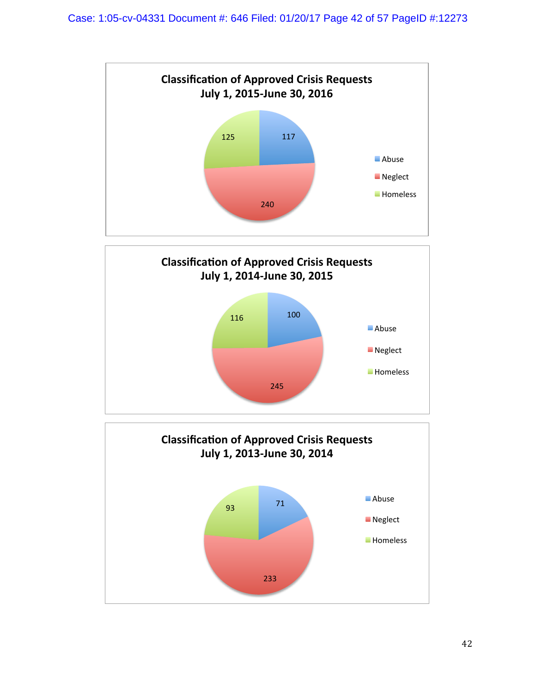



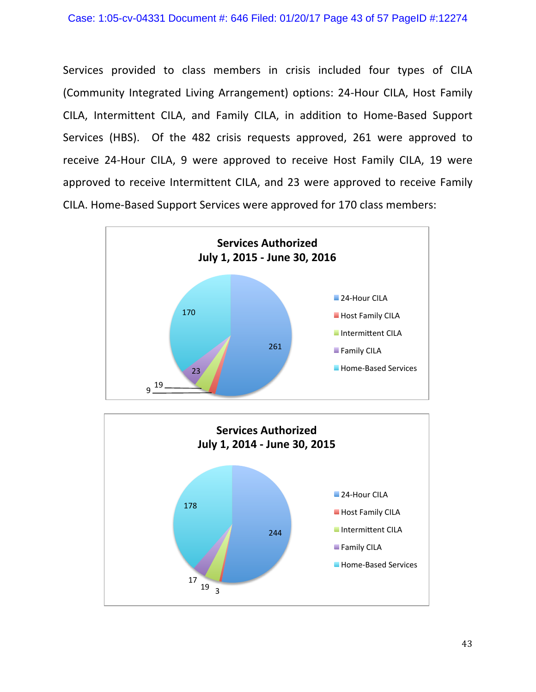Services provided to class members in crisis included four types of CILA (Community Integrated Living Arrangement) options: 24-Hour CILA, Host Family CILA, Intermittent CILA, and Family CILA, in addition to Home-Based Support Services (HBS). Of the 482 crisis requests approved, 261 were approved to receive 24-Hour CILA, 9 were approved to receive Host Family CILA, 19 were approved to receive Intermittent CILA, and 23 were approved to receive Family CILA. Home-Based Support Services were approved for 170 class members:



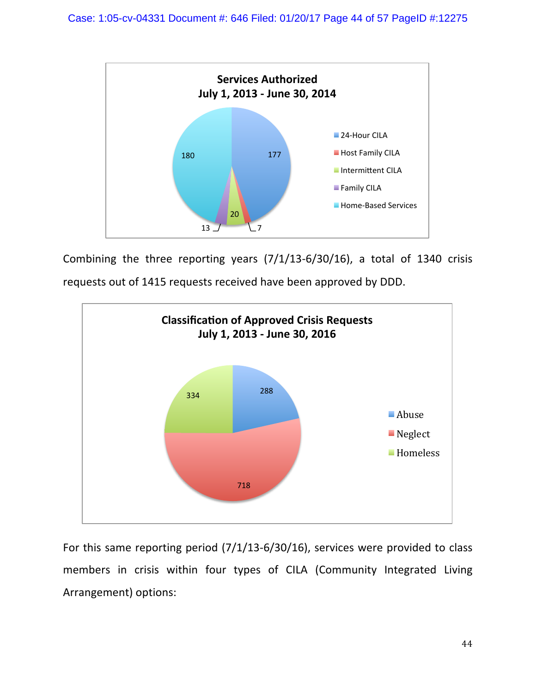

Combining the three reporting years  $(7/1/13-6/30/16)$ , a total of 1340 crisis



requests out of 1415 requests received have been approved by DDD.

For this same reporting period  $(7/1/13-6/30/16)$ , services were provided to class members in crisis within four types of CILA (Community Integrated Living Arrangement) options: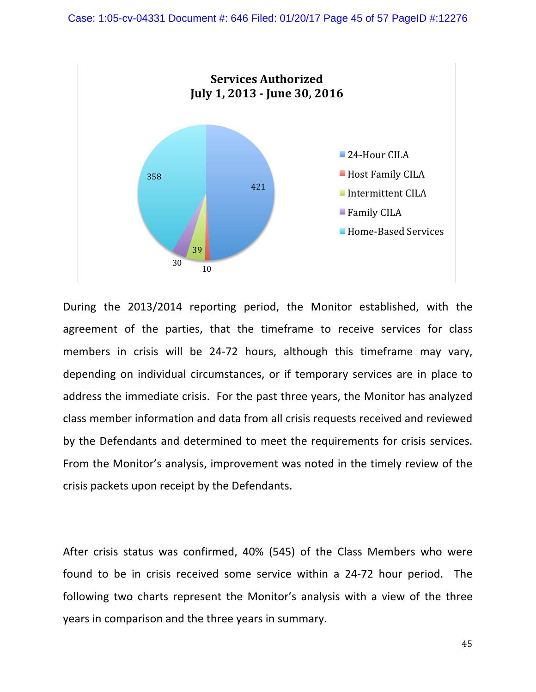

During the 2013/2014 reporting period, the Monitor established, with the agreement of the parties, that the timeframe to receive services for class members in crisis will be 24-72 hours, although this timeframe may vary, depending on individual circumstances, or if temporary services are in place to address the immediate crisis. For the past three years, the Monitor has analyzed class member information and data from all crisis requests received and reviewed by the Defendants and determined to meet the requirements for crisis services. From the Monitor's analysis, improvement was noted in the timely review of the crisis packets upon receipt by the Defendants.

After crisis status was confirmed,  $40\%$  (545) of the Class Members who were found to be in crisis received some service within a 24-72 hour period. The following two charts represent the Monitor's analysis with a view of the three years in comparison and the three years in summary.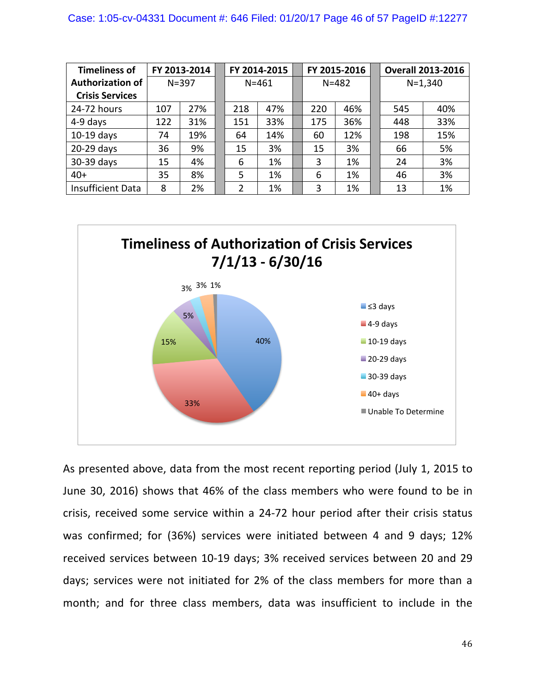| <b>Timeliness of</b>     |           | FY 2013-2014 | FY 2014-2015 |     | FY 2015-2016 |     |             | <b>Overall 2013-2016</b> |
|--------------------------|-----------|--------------|--------------|-----|--------------|-----|-------------|--------------------------|
| <b>Authorization of</b>  | $N = 397$ |              | $N = 461$    |     | $N = 482$    |     | $N = 1,340$ |                          |
| <b>Crisis Services</b>   |           |              |              |     |              |     |             |                          |
| 24-72 hours              | 107       | 27%          | 218          | 47% | 220          | 46% | 545         | 40%                      |
| 4-9 days                 | 122       | 31%          | 151          | 33% | 175          | 36% | 448         | 33%                      |
| $10-19$ days             | 74        | 19%          | 64           | 14% | 60           | 12% | 198         | 15%                      |
| 20-29 days               | 36        | 9%           | 15           | 3%  | 15           | 3%  | 66          | 5%                       |
| 30-39 days               | 15        | 4%           | 6            | 1%  | 3            | 1%  | 24          | 3%                       |
| $40+$                    | 35        | 8%           | 5            | 1%  | 6            | 1%  | 46          | 3%                       |
| <b>Insufficient Data</b> | 8         | 2%           | 2            | 1%  | 3            | 1%  | 13          | 1%                       |





As presented above, data from the most recent reporting period (July 1, 2015 to June 30, 2016) shows that 46% of the class members who were found to be in crisis, received some service within a 24-72 hour period after their crisis status was confirmed; for (36%) services were initiated between 4 and 9 days; 12% received services between 10-19 days; 3% received services between 20 and 29 days; services were not initiated for 2% of the class members for more than a month; and for three class members, data was insufficient to include in the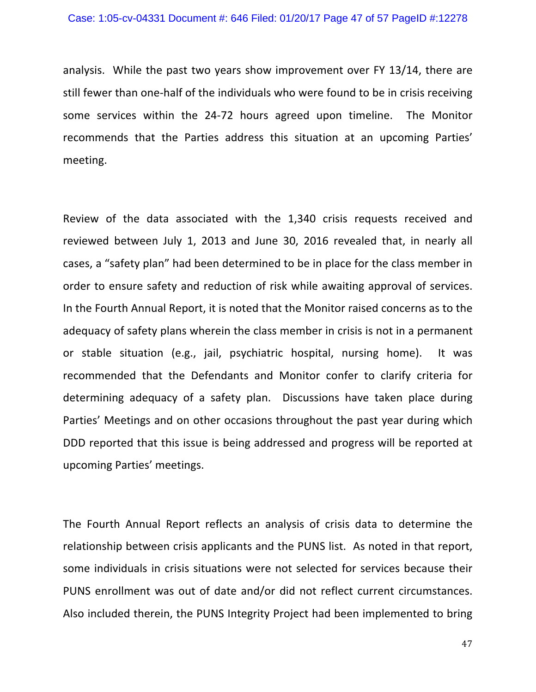analysis. While the past two years show improvement over FY 13/14, there are still fewer than one-half of the individuals who were found to be in crisis receiving some services within the 24-72 hours agreed upon timeline. The Monitor recommends that the Parties address this situation at an upcoming Parties' meeting.

Review of the data associated with the 1,340 crisis requests received and reviewed between July 1, 2013 and June 30, 2016 revealed that, in nearly all cases, a "safety plan" had been determined to be in place for the class member in order to ensure safety and reduction of risk while awaiting approval of services. In the Fourth Annual Report, it is noted that the Monitor raised concerns as to the adequacy of safety plans wherein the class member in crisis is not in a permanent or stable situation (e.g., jail, psychiatric hospital, nursing home). It was recommended that the Defendants and Monitor confer to clarify criteria for determining adequacy of a safety plan. Discussions have taken place during Parties' Meetings and on other occasions throughout the past year during which DDD reported that this issue is being addressed and progress will be reported at upcoming Parties' meetings. 

The Fourth Annual Report reflects an analysis of crisis data to determine the relationship between crisis applicants and the PUNS list. As noted in that report, some individuals in crisis situations were not selected for services because their PUNS enrollment was out of date and/or did not reflect current circumstances. Also included therein, the PUNS Integrity Project had been implemented to bring

47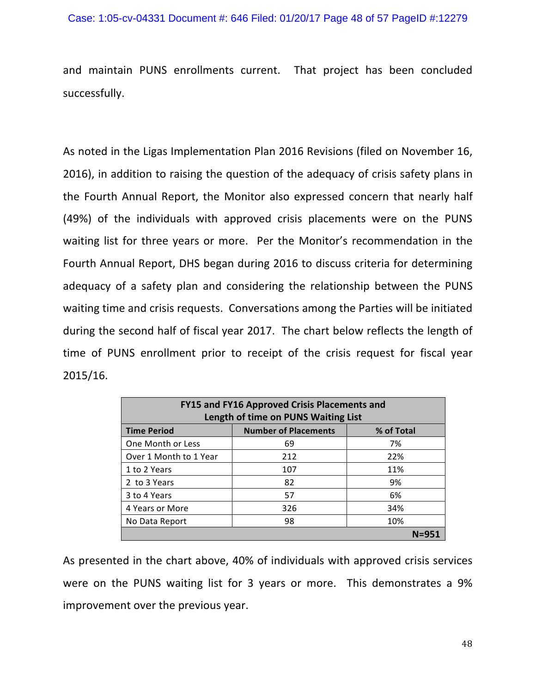and maintain PUNS enrollments current. That project has been concluded successfully. 

As noted in the Ligas Implementation Plan 2016 Revisions (filed on November 16, 2016), in addition to raising the question of the adequacy of crisis safety plans in the Fourth Annual Report, the Monitor also expressed concern that nearly half (49%) of the individuals with approved crisis placements were on the PUNS waiting list for three years or more. Per the Monitor's recommendation in the Fourth Annual Report, DHS began during 2016 to discuss criteria for determining adequacy of a safety plan and considering the relationship between the PUNS waiting time and crisis requests. Conversations among the Parties will be initiated during the second half of fiscal year 2017. The chart below reflects the length of time of PUNS enrollment prior to receipt of the crisis request for fiscal year 2015/16.

| FY15 and FY16 Approved Crisis Placements and |                             |            |  |  |  |  |  |
|----------------------------------------------|-----------------------------|------------|--|--|--|--|--|
| Length of time on PUNS Waiting List          |                             |            |  |  |  |  |  |
| <b>Time Period</b>                           | <b>Number of Placements</b> | % of Total |  |  |  |  |  |
| One Month or Less                            | 69                          | 7%         |  |  |  |  |  |
| Over 1 Month to 1 Year                       | 212                         | 22%        |  |  |  |  |  |
| 1 to 2 Years                                 | 107                         | 11%        |  |  |  |  |  |
| 2 to 3 Years                                 | 82                          | 9%         |  |  |  |  |  |
| 3 to 4 Years                                 | 57                          | 6%         |  |  |  |  |  |
| 4 Years or More                              | 326                         | 34%        |  |  |  |  |  |
| No Data Report                               | 98                          | 10%        |  |  |  |  |  |
|                                              |                             | $N = 951$  |  |  |  |  |  |

As presented in the chart above, 40% of individuals with approved crisis services were on the PUNS waiting list for 3 years or more. This demonstrates a 9% improvement over the previous year.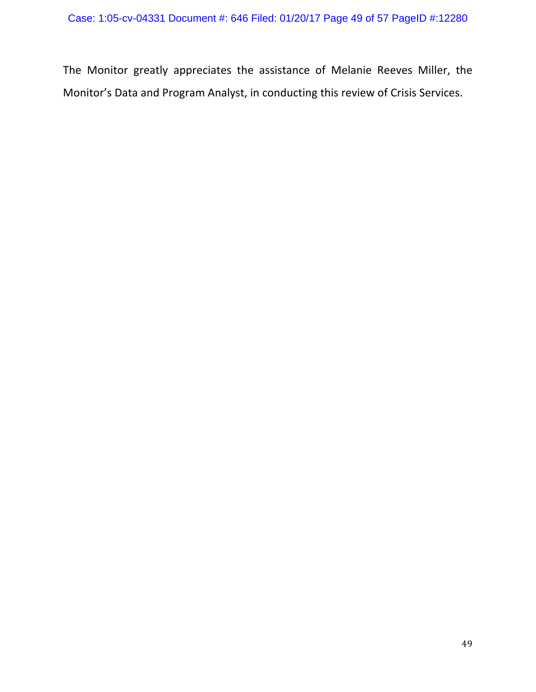The Monitor greatly appreciates the assistance of Melanie Reeves Miller, the Monitor's Data and Program Analyst, in conducting this review of Crisis Services.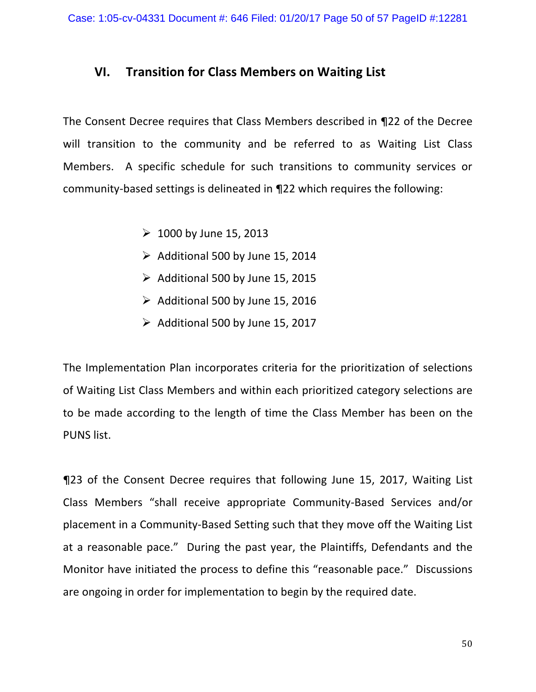## **VI.** Transition for Class Members on Waiting List

The Consent Decree requires that Class Members described in ¶22 of the Decree will transition to the community and be referred to as Waiting List Class Members. A specific schedule for such transitions to community services or community-based settings is delineated in  $\P$ 22 which requires the following:

- $\geq 1000$  by June 15, 2013
- $\triangleright$  Additional 500 by June 15, 2014
- $\triangleright$  Additional 500 by June 15, 2015
- $\triangleright$  Additional 500 by June 15, 2016
- $\triangleright$  Additional 500 by June 15, 2017

The Implementation Plan incorporates criteria for the prioritization of selections of Waiting List Class Members and within each prioritized category selections are to be made according to the length of time the Class Member has been on the PUNS list.

**¶23** of the Consent Decree requires that following June 15, 2017, Waiting List Class Members "shall receive appropriate Community-Based Services and/or placement in a Community-Based Setting such that they move off the Waiting List at a reasonable pace." During the past year, the Plaintiffs, Defendants and the Monitor have initiated the process to define this "reasonable pace." Discussions are ongoing in order for implementation to begin by the required date.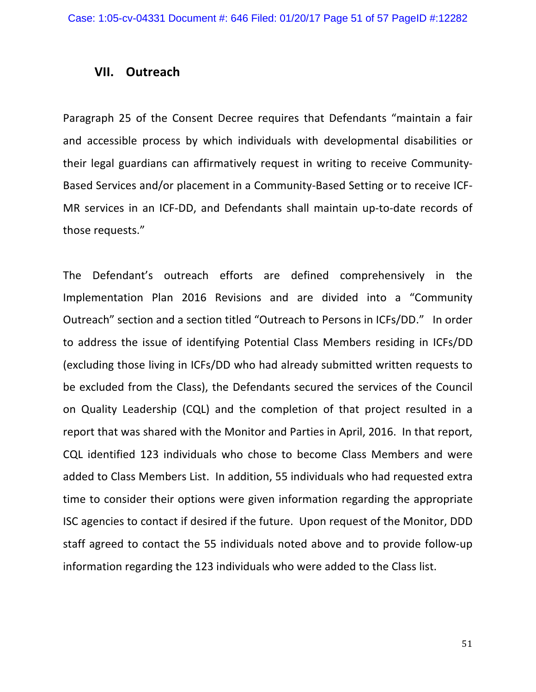### **VII. Outreach**

Paragraph 25 of the Consent Decree requires that Defendants "maintain a fair and accessible process by which individuals with developmental disabilities or their legal guardians can affirmatively request in writing to receive Community-Based Services and/or placement in a Community-Based Setting or to receive ICF-MR services in an ICF-DD, and Defendants shall maintain up-to-date records of those requests."

The Defendant's outreach efforts are defined comprehensively in the Implementation Plan 2016 Revisions and are divided into a "Community Outreach" section and a section titled "Outreach to Persons in ICFs/DD." In order to address the issue of identifying Potential Class Members residing in ICFs/DD (excluding those living in ICFs/DD who had already submitted written requests to be excluded from the Class), the Defendants secured the services of the Council on Quality Leadership (CQL) and the completion of that project resulted in a report that was shared with the Monitor and Parties in April, 2016. In that report, CQL identified 123 individuals who chose to become Class Members and were added to Class Members List. In addition, 55 individuals who had requested extra time to consider their options were given information regarding the appropriate ISC agencies to contact if desired if the future. Upon request of the Monitor, DDD staff agreed to contact the 55 individuals noted above and to provide follow-up information regarding the 123 individuals who were added to the Class list.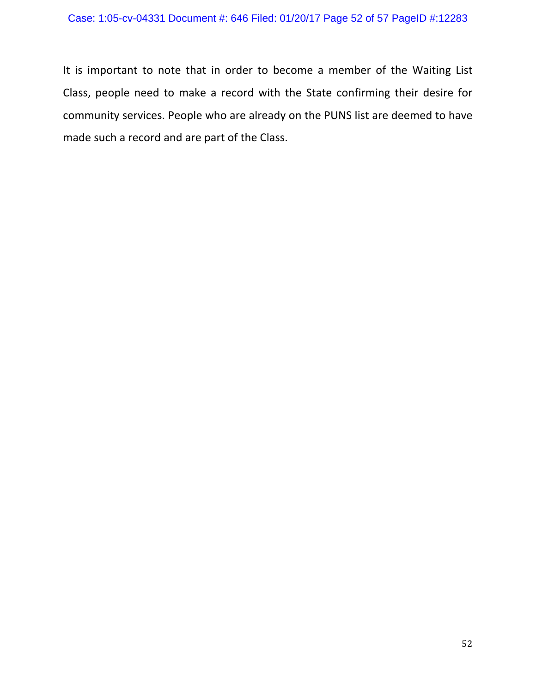It is important to note that in order to become a member of the Waiting List Class, people need to make a record with the State confirming their desire for community services. People who are already on the PUNS list are deemed to have made such a record and are part of the Class.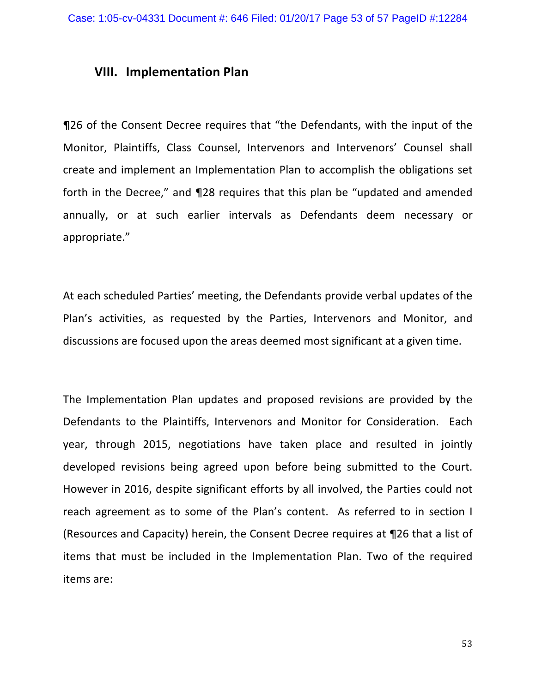### **VIII. Implementation Plan**

**¶26** of the Consent Decree requires that "the Defendants, with the input of the Monitor, Plaintiffs, Class Counsel, Intervenors and Intervenors' Counsel shall create and implement an Implementation Plan to accomplish the obligations set forth in the Decree," and 128 requires that this plan be "updated and amended annually, or at such earlier intervals as Defendants deem necessary or appropriate." 

At each scheduled Parties' meeting, the Defendants provide verbal updates of the Plan's activities, as requested by the Parties, Intervenors and Monitor, and discussions are focused upon the areas deemed most significant at a given time.

The Implementation Plan updates and proposed revisions are provided by the Defendants to the Plaintiffs, Intervenors and Monitor for Consideration. Each year, through 2015, negotiations have taken place and resulted in jointly developed revisions being agreed upon before being submitted to the Court. However in 2016, despite significant efforts by all involved, the Parties could not reach agreement as to some of the Plan's content. As referred to in section I (Resources and Capacity) herein, the Consent Decree requires at ¶26 that a list of items that must be included in the Implementation Plan. Two of the required items are: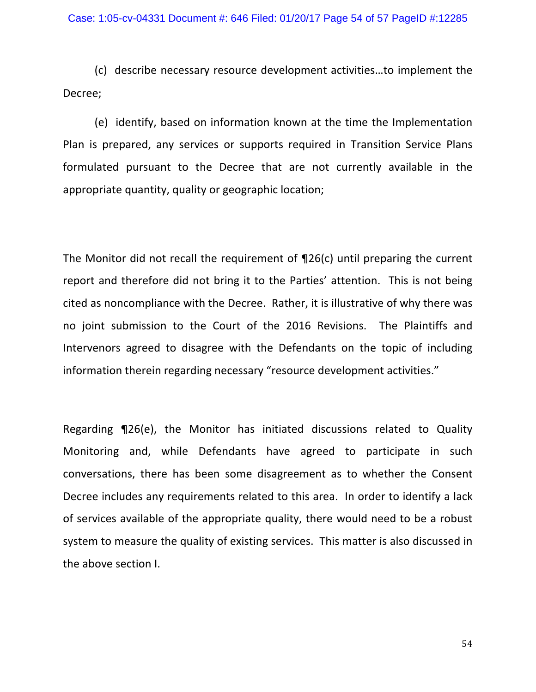(c) describe necessary resource development activities…to implement the Decree;

(e) identify, based on information known at the time the Implementation Plan is prepared, any services or supports required in Transition Service Plans formulated pursuant to the Decree that are not currently available in the appropriate quantity, quality or geographic location;

The Monitor did not recall the requirement of  $\P$ 26(c) until preparing the current report and therefore did not bring it to the Parties' attention. This is not being cited as noncompliance with the Decree. Rather, it is illustrative of why there was no joint submission to the Court of the 2016 Revisions. The Plaintiffs and Intervenors agreed to disagree with the Defendants on the topic of including information therein regarding necessary "resource development activities."

Regarding  $\P$ 26(e), the Monitor has initiated discussions related to Quality Monitoring and, while Defendants have agreed to participate in such conversations, there has been some disagreement as to whether the Consent Decree includes any requirements related to this area. In order to identify a lack of services available of the appropriate quality, there would need to be a robust system to measure the quality of existing services. This matter is also discussed in the above section I.

54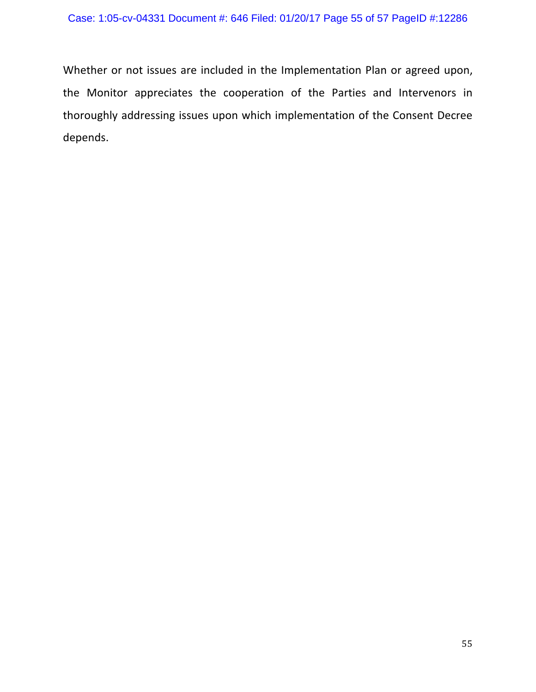Whether or not issues are included in the Implementation Plan or agreed upon, the Monitor appreciates the cooperation of the Parties and Intervenors in thoroughly addressing issues upon which implementation of the Consent Decree depends.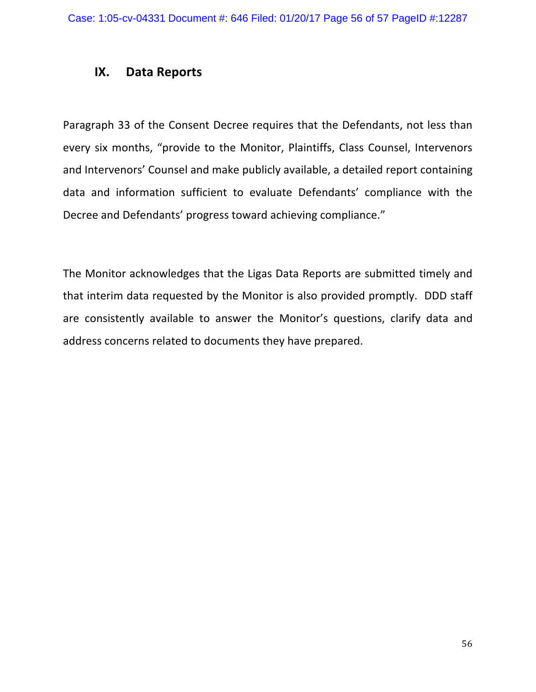### **IX. Data Reports**

Paragraph 33 of the Consent Decree requires that the Defendants, not less than every six months, "provide to the Monitor, Plaintiffs, Class Counsel, Intervenors and Intervenors' Counsel and make publicly available, a detailed report containing data and information sufficient to evaluate Defendants' compliance with the Decree and Defendants' progress toward achieving compliance."

The Monitor acknowledges that the Ligas Data Reports are submitted timely and that interim data requested by the Monitor is also provided promptly. DDD staff are consistently available to answer the Monitor's questions, clarify data and address concerns related to documents they have prepared.